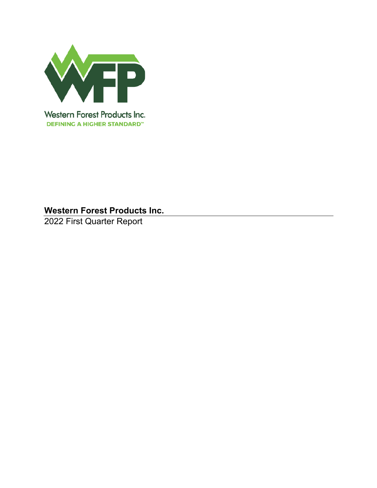

2022 First Quarter Report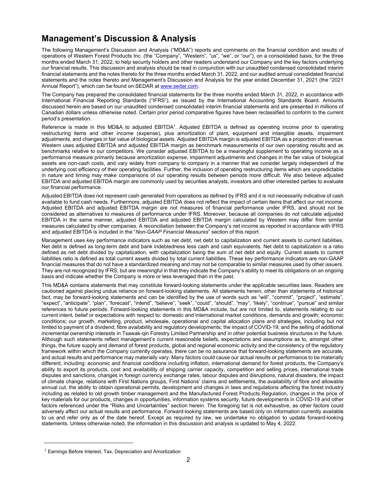# **Management's Discussion & Analysis**

The following Management's Discussion and Analysis ("MD&A") reports and comments on the financial condition and results of operations of Western Forest Products Inc. (the "Company", "Western", "us", "we", or "our"), on a consolidated basis, for the three months ended March 31, 2022, to help security holders and other readers understand our Company and the key factors underlying our financial results. This discussion and analysis should be read in conjunction with our unaudited condensed consolidated interim financial statements and the notes thereto for the three months ended March 31, 2022, and our audited annual consolidated financial statements and the notes thereto and Management's Discussion and Analysis for the year ended December 31, 2021 (the "2021 Annual Report"), which can be found on SEDAR at www.sedar.com.

The Company has prepared the consolidated financial statements for the three months ended March 31, 2022, in accordance with International Financial Reporting Standards ("IFRS"), as issued by the International Accounting Standards Board. Amounts discussed herein are based on our unaudited condensed consolidated interim financial statements and are presented in millions of Canadian dollars unless otherwise noted. Certain prior period comparative figures have been reclassified to conform to the current period's presentation.

Reference is made in this MD&A to adjusted EBITDA<sup>1</sup>. Adjusted EBITDA is defined as operating income prior to operating restructuring items and other income (expense), plus amortization of plant, equipment and intangible assets, impairment adjustments, and changes in fair value of biological assets. Adjusted EBITDA margin is adjusted EBITDA as a proportion of revenue. Western uses adjusted EBITDA and adjusted EBITDA margin as benchmark measurements of our own operating results and as benchmarks relative to our competitors. We consider adjusted EBITDA to be a meaningful supplement to operating income as a performance measure primarily because amortization expense, impairment adjustments and changes in the fair value of biological assets are non-cash costs, and vary widely from company to company in a manner that we consider largely independent of the underlying cost efficiency of their operating facilities. Further, the inclusion of operating restructuring items which are unpredictable in nature and timing may make comparisons of our operating results between periods more difficult. We also believe adjusted EBITDA and adjusted EBITDA margin are commonly used by securities analysts, investors and other interested parties to evaluate our financial performance.

Adjusted EBITDA does not represent cash generated from operations as defined by IFRS and it is not necessarily indicative of cash available to fund cash needs. Furthermore, adjusted EBITDA does not reflect the impact of certain items that affect our net income. Adjusted EBITDA and adjusted EBITDA margin are not measures of financial performance under IFRS, and should not be considered as alternatives to measures of performance under IFRS. Moreover, because all companies do not calculate adjusted EBITDA in the same manner, adjusted EBITDA and adjusted EBITDA margin calculated by Western may differ from similar measures calculated by other companies. A reconciliation between the Company's net income as reported in accordance with IFRS and adjusted EBITDA is included in the "*Non-GAAP Financial Measures*" section of this report.

Management uses key performance indicators such as net debt, net debt to capitalization and current assets to current liabilities. Net debt is defined as long-term debt and bank indebtedness less cash and cash equivalents. Net debt to capitalization is a ratio defined as net debt divided by capitalization, with capitalization being the sum of net debt and equity. Current assets to current liabilities ratio is defined as total current assets divided by total current liabilities. These key performance indicators are non-GAAP financial measures that do not have a standardized meaning and may not be comparable to similar measures used by other issuers. They are not recognized by IFRS; but are meaningful in that they indicate the Company's ability to meet its obligations on an ongoing basis and indicate whether the Company is more or less leveraged than in the past.

This MD&A contains statements that may constitute forward-looking statements under the applicable securities laws. Readers are cautioned against placing undue reliance on forward-looking statements. All statements herein, other than statements of historical fact, may be forward-looking statements and can be identified by the use of words such as "will", "commit", "project", "estimate", "expect", "anticipate", "plan", "forecast", "intend", "believe", "seek", "could", "should", "may", "likely", "continue", "pursue" and similar references to future periods. Forward-looking statements in this MD&A include, but are not limited to, statements relating to our current intent, belief or expectations with respect to: domestic and international market conditions, demands and growth; economic conditions; our growth, marketing, product, wholesale, operational and capital allocation plans and strategies, including but not limited to payment of a dividend; fibre availability and regulatory developments; the impact of COVID-19; and the selling of additional incremental ownership interests in Tsawak-qin Forestry Limited Partnership and in other potential business structures in the future. Although such statements reflect management's current reasonable beliefs, expectations and assumptions as to, amongst other things, the future supply and demand of forest products, global and regional economic activity and the consistency of the regulatory framework within which the Company currently operates, there can be no assurance that forward-looking statements are accurate, and actual results and performance may materially vary. Many factors could cause our actual results or performance to be materially different, including: economic and financial conditions including inflation, international demand for forest products, the Company's ability to export its products, cost and availability of shipping carrier capacity, competition and selling prices, international trade disputes and sanctions, changes in foreign currency exchange rates, labour disputes and disruptions, natural disasters, the impact of climate change, relations with First Nations groups, First Nations' claims and settlements, the availability of fibre and allowable annual cut, the ability to obtain operational permits, development and changes in laws and regulations affecting the forest industry including as related to old growth timber management and the Manufactured Forest Products Regulation, changes in the price of key materials for our products, changes in opportunities, information systems security, future developments in COVID-19 and other factors referenced under the "Risks and Uncertainties" section herein. The foregoing list is not exhaustive, as other factors could adversely affect our actual results and performance. Forward-looking statements are based only on information currently available to us and refer only as of the date hereof. Except as required by law, we undertake no obligation to update forward-looking statements. Unless otherwise noted, the information in this discussion and analysis is updated to May 4, 2022.

<sup>&</sup>lt;sup>1</sup> Earnings Before Interest, Tax, Depreciation and Amortization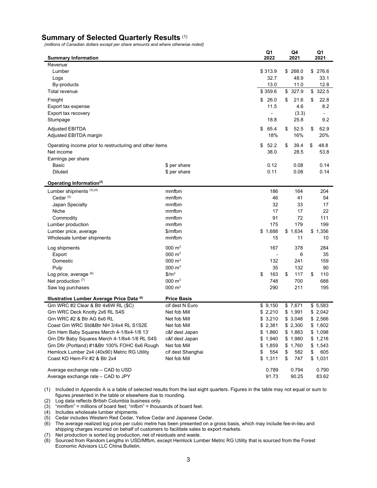# **Summary of Selected Quarterly Results** (1)

*(millions of Canadian dollars except per share amounts and where otherwise noted)* 

| <b>Summary Information</b>                              |                     | Q1<br>2022 | Q4<br>2021 | Q1<br>2021  |
|---------------------------------------------------------|---------------------|------------|------------|-------------|
| Revenue                                                 |                     |            |            |             |
| Lumber                                                  |                     | \$313.9    | \$268.0    | 276.6<br>\$ |
| Logs                                                    |                     | 32.7       | 48.9       | 33.1        |
| By-products                                             |                     | 13.0       | 11.0       | 12.8        |
| Total revenue                                           |                     | \$359.6    | \$327.9    | \$<br>322.5 |
| Freight                                                 |                     | \$<br>26.0 | \$<br>21.6 | \$<br>22.8  |
| Export tax expense                                      |                     | 11.5       | 4.6        | 8.2         |
| Export tax recovery                                     |                     |            | (3.3)      |             |
| Stumpage                                                |                     | 18.8       | 25.8       | 9.2         |
| <b>Adjusted EBITDA</b>                                  |                     | \$<br>65.4 | \$<br>52.5 | 62.9<br>\$  |
| Adjusted EBITDA margin                                  |                     | 18%        | 16%        | 20%         |
| Operating income prior to restructuring and other items |                     | \$<br>52.2 | \$<br>39.4 | 48.8<br>\$  |
| Net income                                              |                     | 38.0       | 28.5       | 53.8        |
| Earnings per share                                      |                     |            |            |             |
| Basic                                                   | \$ per share        | 0.12       | 0.08       | 0.14        |
| Diluted                                                 | \$ per share        | 0.11       | 0.08       | 0.14        |
|                                                         |                     |            |            |             |
| Operating Information <sup>(2)</sup>                    |                     |            |            |             |
| Lumber shipments (3),(4)                                | mmfbm               | 186        | 164        | 204         |
| Cedar <sup>(5)</sup>                                    | mmfbm               | 46         | 41         | 54          |
| Japan Specialty                                         | mmfbm               | 32         | 33         | 17          |
| Niche                                                   | mmfbm               | 17         | 17         | 22          |
| Commodity                                               | mmfbm               | 91         | 72         | 111         |
| Lumber production                                       | mmfbm               | 175        | 179        | 199         |
| Lumber price, average                                   | \$/mfbm             | \$1,688    | \$1,634    | \$1,356     |
| Wholesale lumber shipments                              | mmfbm               | 15         | 11         | 10          |
| Log shipments                                           | $000 \; \text{m}^3$ | 167        | 378        | 284         |
| Export                                                  | $000 \; \text{m}^3$ |            | 6          | 35          |
| Domestic                                                | 000 $m3$            | 132        | 241        | 159         |
| Pulp                                                    | $000 \; \text{m}^3$ | 35         | 132        | 90          |
| Log price, average (6)                                  | \$/m <sup>3</sup>   | \$<br>163  | \$<br>117  | \$<br>110   |
| Net production (7)                                      | $000 \; \text{m}^3$ | 748        | 700        | 688         |
| Saw log purchases                                       | $000 \; \text{m}^3$ | 290        | 211        | 195         |
| Illustrative Lumber Average Price Data (8)              | <b>Price Basis</b>  |            |            |             |
| Grn WRC #2 Clear & Btr 4x6W RL (\$C)                    | cif dest N Euro     | \$9,150    | \$7,671    | \$5,583     |
| Grn WRC Deck Knotty 2x6 RL S4S                          | Net fob Mill        | \$2,210    | \$1,991    | \$2,042     |
| Grn WRC #2 & Btr AG 6x6 RL                              | Net fob Mill        | \$3,210    | \$3,048    | \$2,566     |
| Coast Gm WRC Std&Btr NH 3/4x4 RL S1S2E                  | Net fob Mill        | \$2,381    | \$2,300    | \$1,602     |
| Grn Hem Baby Squares Merch 4-1/8x4-1/8 13'              | c&f dest Japan      | \$1,860    | \$1,883    | \$1,098     |
| Grn Dfir Baby Squares Merch 4-1/8x4-1/8 RL S4S          | c&f dest Japan      | \$1,940    | \$1,980    | \$1,216     |
| Grn Dfir (Portland) #1&Btr 100% FOHC 6x6 Rough          | Net fob Mill        | \$1,859    | \$1,760    | \$1,543     |
| Hemlock Lumber 2x4 (40x90) Metric RG Utility            | cif dest Shanghai   | \$<br>554  | \$<br>582  | 605<br>\$   |
| Coast KD Hem-Fir #2 & Btr 2x4                           | Net fob Mill        | \$1,311    | \$<br>747  | \$1,031     |
| Average exchange rate - CAD to USD                      |                     | 0.789      | 0.794      | 0.790       |
| Average exchange rate - CAD to JPY                      |                     | 91.73      | 90.25      | 83.62       |
|                                                         |                     |            |            |             |

(1) Included in Appendix A is a table of selected results from the last eight quarters. Figures in the table may not equal or sum to figures presented in the table or elsewhere due to rounding.

(2) Log data reflects British Columbia business only.

(3) "mmfbm" = millions of board feet; "mfbm" = thousands of board feet.

(4) Includes wholesale lumber shipments.

(5) Cedar includes Western Red Cedar, Yellow Cedar and Japanese Cedar.

(6) The average realized log price per cubic metre has been presented on a gross basis, which may include fee-in-lieu and shipping charges incurred on behalf of customers to facilitate sales to export markets.

(7) Net production is sorted log production, net of residuals and waste.

(8) Sourced from Random Lengths in USD/Mfbm, except Hemlock Lumber Metric RG Utility that is sourced from the Forest Economic Advisors LLC China Bulletin.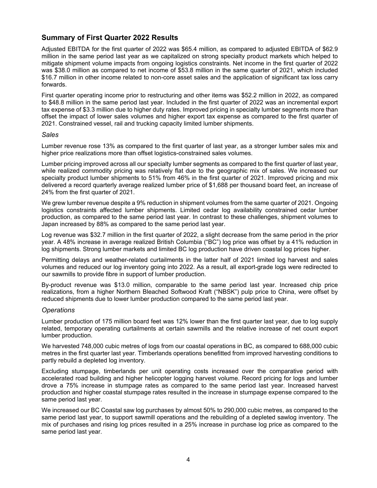# **Summary of First Quarter 2022 Results**

Adjusted EBITDA for the first quarter of 2022 was \$65.4 million, as compared to adjusted EBITDA of \$62.9 million in the same period last year as we capitalized on strong specialty product markets which helped to mitigate shipment volume impacts from ongoing logistics constraints. Net income in the first quarter of 2022 was \$38.0 million as compared to net income of \$53.8 million in the same quarter of 2021, which included \$16.7 million in other income related to non-core asset sales and the application of significant tax loss carry forwards.

First quarter operating income prior to restructuring and other items was \$52.2 million in 2022, as compared to \$48.8 million in the same period last year. Included in the first quarter of 2022 was an incremental export tax expense of \$3.3 million due to higher duty rates. Improved pricing in specialty lumber segments more than offset the impact of lower sales volumes and higher export tax expense as compared to the first quarter of 2021. Constrained vessel, rail and trucking capacity limited lumber shipments.

### *Sales*

Lumber revenue rose 13% as compared to the first quarter of last year, as a stronger lumber sales mix and higher price realizations more than offset logistics-constrained sales volumes.

Lumber pricing improved across all our specialty lumber segments as compared to the first quarter of last year, while realized commodity pricing was relatively flat due to the geographic mix of sales. We increased our specialty product lumber shipments to 51% from 46% in the first quarter of 2021. Improved pricing and mix delivered a record quarterly average realized lumber price of \$1,688 per thousand board feet, an increase of 24% from the first quarter of 2021.

We grew lumber revenue despite a 9% reduction in shipment volumes from the same quarter of 2021. Ongoing logistics constraints affected lumber shipments. Limited cedar log availability constrained cedar lumber production, as compared to the same period last year. In contrast to these challenges, shipment volumes to Japan increased by 88% as compared to the same period last year.

Log revenue was \$32.7 million in the first quarter of 2022, a slight decrease from the same period in the prior year. A 48% increase in average realized British Columbia ("BC") log price was offset by a 41% reduction in log shipments. Strong lumber markets and limited BC log production have driven coastal log prices higher.

Permitting delays and weather-related curtailments in the latter half of 2021 limited log harvest and sales volumes and reduced our log inventory going into 2022. As a result, all export-grade logs were redirected to our sawmills to provide fibre in support of lumber production.

By-product revenue was \$13.0 million, comparable to the same period last year. Increased chip price realizations, from a higher Northern Bleached Softwood Kraft ("NBSK") pulp price to China, were offset by reduced shipments due to lower lumber production compared to the same period last year.

# *Operations*

Lumber production of 175 million board feet was 12% lower than the first quarter last year, due to log supply related, temporary operating curtailments at certain sawmills and the relative increase of net count export lumber production.

We harvested 748,000 cubic metres of logs from our coastal operations in BC, as compared to 688,000 cubic metres in the first quarter last year. Timberlands operations benefitted from improved harvesting conditions to partly rebuild a depleted log inventory.

Excluding stumpage, timberlands per unit operating costs increased over the comparative period with accelerated road building and higher helicopter logging harvest volume. Record pricing for logs and lumber drove a 75% increase in stumpage rates as compared to the same period last year. Increased harvest production and higher coastal stumpage rates resulted in the increase in stumpage expense compared to the same period last year.

We increased our BC Coastal saw log purchases by almost 50% to 290,000 cubic metres, as compared to the same period last year, to support sawmill operations and the rebuilding of a depleted sawlog inventory. The mix of purchases and rising log prices resulted in a 25% increase in purchase log price as compared to the same period last year.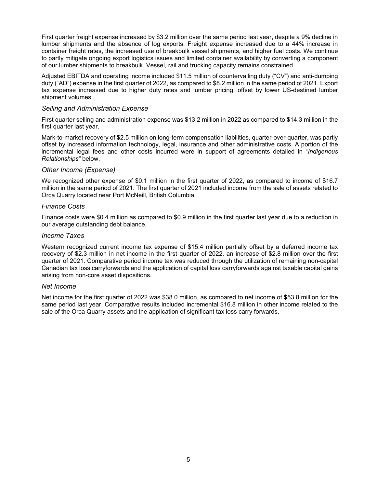First quarter freight expense increased by \$3.2 million over the same period last year, despite a 9% decline in lumber shipments and the absence of log exports. Freight expense increased due to a 44% increase in container freight rates, the increased use of breakbulk vessel shipments, and higher fuel costs. We continue to partly mitigate ongoing export logistics issues and limited container availability by converting a component of our lumber shipments to breakbulk. Vessel, rail and trucking capacity remains constrained.

Adjusted EBITDA and operating income included \$11.5 million of countervailing duty ("CV") and anti-dumping duty ("AD") expense in the first quarter of 2022, as compared to \$8.2 million in the same period of 2021. Export tax expense increased due to higher duty rates and lumber pricing, offset by lower US-destined lumber shipment volumes.

# *Selling and Administration Expense*

First quarter selling and administration expense was \$13.2 million in 2022 as compared to \$14.3 million in the first quarter last year.

Mark-to-market recovery of \$2.5 million on long-term compensation liabilities, quarter-over-quarter, was partly offset by increased information technology, legal, insurance and other administrative costs. A portion of the incremental legal fees and other costs incurred were in support of agreements detailed in "*Indigenous Relationships"* below.

# *Other Income (Expense)*

We recognized other expense of \$0.1 million in the first quarter of 2022, as compared to income of \$16.7 million in the same period of 2021. The first quarter of 2021 included income from the sale of assets related to Orca Quarry located near Port McNeill, British Columbia.

### *Finance Costs*

Finance costs were \$0.4 million as compared to \$0.9 million in the first quarter last year due to a reduction in our average outstanding debt balance.

#### *Income Taxes*

Western recognized current income tax expense of \$15.4 million partially offset by a deferred income tax recovery of \$2.3 million in net income in the first quarter of 2022, an increase of \$2.8 million over the first quarter of 2021. Comparative period income tax was reduced through the utilization of remaining non-capital Canadian tax loss carryforwards and the application of capital loss carryforwards against taxable capital gains arising from non-core asset dispositions.

# *Net Income*

Net income for the first quarter of 2022 was \$38.0 million, as compared to net income of \$53.8 million for the same period last year. Comparative results included incremental \$16.8 million in other income related to the sale of the Orca Quarry assets and the application of significant tax loss carry forwards.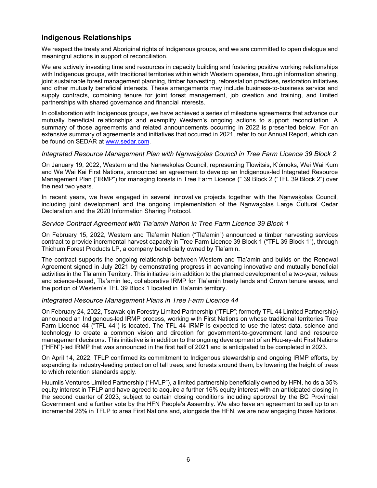# **Indigenous Relationships**

We respect the treaty and Aboriginal rights of Indigenous groups, and we are committed to open dialogue and meaningful actions in support of reconciliation.

We are actively investing time and resources in capacity building and fostering positive working relationships with Indigenous groups, with traditional territories within which Western operates, through information sharing, joint sustainable forest management planning, timber harvesting, reforestation practices, restoration initiatives and other mutually beneficial interests. These arrangements may include business-to-business service and supply contracts, combining tenure for joint forest management, job creation and training, and limited partnerships with shared governance and financial interests.

In collaboration with Indigenous groups, we have achieved a series of milestone agreements that advance our mutually beneficial relationships and exemplify Western's ongoing actions to support reconciliation. A summary of those agreements and related announcements occurring in 2022 is presented below. For an extensive summary of agreements and initiatives that occurred in 2021, refer to our Annual Report, which can be found on SEDAR at www.sedar.com.

# *Integrated Resource Management Plan with Nanwakolas Council in Tree Farm Licence 39 Block 2*

On January 19, 2022, Western and the Nanwakolas Council, representing Tlowitsis, K'ómoks, Wei Wai Kum and We Wai Kai First Nations, announced an agreement to develop an Indigenous-led Integrated Resource Management Plan ("IRMP") for managing forests in Tree Farm Licence (" 39 Block 2 ("TFL 39 Block 2") over the next two years.

In recent years, we have engaged in several innovative projects together with the Nanwakolas Council, including joint development and the ongoing implementation of the Nanwakolas Large Cultural Cedar Declaration and the 2020 Information Sharing Protocol.

# *Service Contract Agreement with Tla'amin Nation in Tree Farm Licence 39 Block 1*

On February 15, 2022, Western and Tla'amin Nation ("Tla'amin") announced a timber harvesting services contract to provide incremental harvest capacity in Tree Farm Licence 39 Block 1 ("TFL 39 Block 1"), through Thichum Forest Products LP, a company beneficially owned by Tla'amin.

The contract supports the ongoing relationship between Western and Tla'amin and builds on the Renewal Agreement signed in July 2021 by demonstrating progress in advancing innovative and mutually beneficial activities in the Tla'amin Territory. This initiative is in addition to the planned development of a two-year, values and science-based, Tla'amin led, collaborative IRMP for Tla'amin treaty lands and Crown tenure areas, and the portion of Western's TFL 39 Block 1 located in Tla'amin territory.

# *Integrated Resource Management Plans in Tree Farm Licence 44*

On February 24, 2022, Tsawak-qin Forestry Limited Partnership ("TFLP"; formerly TFL 44 Limited Partnership) announced an Indigenous-led IRMP process, working with First Nations on whose traditional territories Tree Farm Licence 44 ("TFL 44") is located. The TFL 44 IRMP is expected to use the latest data, science and technology to create a common vision and direction for government-to-government land and resource management decisions. This initiative is in addition to the ongoing development of an Huu-ay-aht First Nations ("HFN")-led IRMP that was announced in the first half of 2021 and is anticipated to be completed in 2023.

On April 14, 2022, TFLP confirmed its commitment to Indigenous stewardship and ongoing IRMP efforts, by expanding its industry-leading protection of tall trees, and forests around them, by lowering the height of trees to which retention standards apply.

Huumiis Ventures Limited Partnership ("HVLP"), a limited partnership beneficially owned by HFN, holds a 35% equity interest in TFLP and have agreed to acquire a further 16% equity interest with an anticipated closing in the second quarter of 2023, subject to certain closing conditions including approval by the BC Provincial Government and a further vote by the HFN People's Assembly. We also have an agreement to sell up to an incremental 26% in TFLP to area First Nations and, alongside the HFN, we are now engaging those Nations.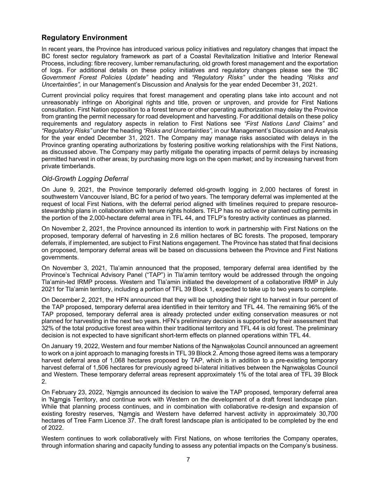# **Regulatory Environment**

In recent years, the Province has introduced various policy initiatives and regulatory changes that impact the BC forest sector regulatory framework as part of a Coastal Revitalization Initiative and Interior Renewal Process, including: fibre recovery, lumber remanufacturing, old growth forest management and the exportation of logs. For additional details on these policy initiatives and regulatory changes please see the *"BC Government Forest Policies Update"* heading and *"Regulatory Risks"* under the heading *"Risks and Uncertainties",* in our Management's Discussion and Analysis for the year ended December 31, 2021.

Current provincial policy requires that forest management and operating plans take into account and not unreasonably infringe on Aboriginal rights and title, proven or unproven, and provide for First Nations consultation. First Nation opposition to a forest tenure or other operating authorization may delay the Province from granting the permit necessary for road development and harvesting. For additional details on these policy requirements and regulatory aspects in relation to First Nations see *"First Nations Land Claims"* and *"Regulatory Risks"* under the heading *"Risks and Uncertainties",* in our Management's Discussion and Analysis for the year ended December 31, 2021. The Company may manage risks associated with delays in the Province granting operating authorizations by fostering positive working relationships with the First Nations, as discussed above. The Company may partly mitigate the operating impacts of permit delays by increasing permitted harvest in other areas; by purchasing more logs on the open market; and by increasing harvest from private timberlands.

# *Old-Growth Logging Deferral*

On June 9, 2021, the Province temporarily deferred old-growth logging in 2,000 hectares of forest in southwestern Vancouver Island, BC for a period of two years. The temporary deferral was implemented at the request of local First Nations, with the deferral period aligned with timelines required to prepare resourcestewardship plans in collaboration with tenure rights holders. TFLP has no active or planned cutting permits in the portion of the 2,000-hectare deferral area in TFL 44, and TFLP's forestry activity continues as planned.

On November 2, 2021, the Province announced its intention to work in partnership with First Nations on the proposed, temporary deferral of harvesting in 2.6 million hectares of BC forests. The proposed, temporary deferrals, if implemented, are subject to First Nations engagement. The Province has stated that final decisions on proposed, temporary deferral areas will be based on discussions between the Province and First Nations governments.

On November 3, 2021, Tla'amin announced that the proposed, temporary deferral area identified by the Province's Technical Advisory Panel ("TAP") in Tla'amin territory would be addressed through the ongoing Tla'amin-led IRMP process. Western and Tla'amin initiated the development of a collaborative IRMP in July 2021 for Tla'amin territory, including a portion of TFL 39 Block 1, expected to take up to two years to complete.

On December 2, 2021, the HFN announced that they will be upholding their right to harvest in four percent of the TAP proposed, temporary deferral area identified in their territory and TFL 44. The remaining 96% of the TAP proposed, temporary deferral area is already protected under exiting conservation measures or not planned for harvesting in the next two years. HFN's preliminary decision is supported by their assessment that 32% of the total productive forest area within their traditional territory and TFL 44 is old forest. The preliminary decision is not expected to have significant short-term effects on planned operations within TFL 44.

On January 19, 2022, Western and four member Nations of the Nanwakolas Council announced an agreement to work on a joint approach to managing forests in TFL 39 Block 2. Among those agreed items was a temporary harvest deferral area of 1,068 hectares proposed by TAP, which is in addition to a pre-existing temporary harvest deferral of 1,506 hectares for previously agreed bi-lateral initiatives between the Nanwakolas Council and Western. These temporary deferral areas represent approximately 1% of the total area of TFL 39 Block 2.

On February 23, 2022, 'Namgis announced its decision to waive the TAP proposed, temporary deferral area in 'Namgis Territory, and continue work with Western on the development of a draft forest landscape plan. While that planning process continues, and in combination with collaborative re-design and expansion of existing forestry reserves, 'Namgis and Western have deferred harvest activity in approximately 30,700 hectares of Tree Farm Licence 37. The draft forest landscape plan is anticipated to be completed by the end of 2022.

Western continues to work collaboratively with First Nations, on whose territories the Company operates, through information sharing and capacity funding to assess any potential impacts on the Company's business.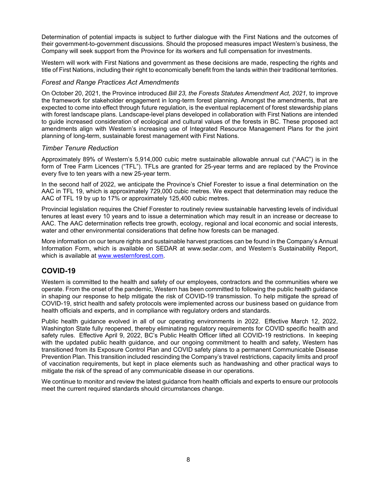Determination of potential impacts is subject to further dialogue with the First Nations and the outcomes of their government-to-government discussions. Should the proposed measures impact Western's business, the Company will seek support from the Province for its workers and full compensation for investments.

Western will work with First Nations and government as these decisions are made, respecting the rights and title of First Nations, including their right to economically benefit from the lands within their traditional territories.

### *Forest and Range Practices Act Amendments*

On October 20, 2021, the Province introduced *Bill 23, the Forests Statutes Amendment Act, 2021,* to improve the framework for stakeholder engagement in long-term forest planning. Amongst the amendments, that are expected to come into effect through future regulation, is the eventual replacement of forest stewardship plans with forest landscape plans. Landscape-level plans developed in collaboration with First Nations are intended to guide increased consideration of ecological and cultural values of the forests in BC. These proposed act amendments align with Western's increasing use of Integrated Resource Management Plans for the joint planning of long-term, sustainable forest management with First Nations.

# *Timber Tenure Reduction*

Approximately 89% of Western's 5,914,000 cubic metre sustainable allowable annual cut ("AAC") is in the form of Tree Farm Licences ("TFL"). TFLs are granted for 25-year terms and are replaced by the Province every five to ten years with a new 25-year term.

In the second half of 2022, we anticipate the Province's Chief Forester to issue a final determination on the AAC in TFL 19, which is approximately 729,000 cubic metres. We expect that determination may reduce the AAC of TFL 19 by up to 17% or approximately 125,400 cubic metres.

Provincial legislation requires the Chief Forester to routinely review sustainable harvesting levels of individual tenures at least every 10 years and to issue a determination which may result in an increase or decrease to AAC. The AAC determination reflects tree growth, ecology, regional and local economic and social interests, water and other environmental considerations that define how forests can be managed.

More information on our tenure rights and sustainable harvest practices can be found in the Company's Annual Information Form, which is available on SEDAR at www.sedar.com, and Western's Sustainability Report, which is available at www.westernforest.com.

# **COVID-19**

Western is committed to the health and safety of our employees, contractors and the communities where we operate. From the onset of the pandemic, Western has been committed to following the public health guidance in shaping our response to help mitigate the risk of COVID-19 transmission. To help mitigate the spread of COVID-19, strict health and safety protocols were implemented across our business based on guidance from health officials and experts, and in compliance with regulatory orders and standards.

Public health guidance evolved in all of our operating environments in 2022. Effective March 12, 2022, Washington State fully reopened, thereby eliminating regulatory requirements for COVID specific health and safety rules. Effective April 9, 2022, BC's Public Health Officer lifted all COVID-19 restrictions. In keeping with the updated public health guidance, and our ongoing commitment to health and safety, Western has transitioned from its Exposure Control Plan and COVID safety plans to a permanent Communicable Disease Prevention Plan. This transition included rescinding the Company's travel restrictions, capacity limits and proof of vaccination requirements, but kept in place elements such as handwashing and other practical ways to mitigate the risk of the spread of any communicable disease in our operations.

We continue to monitor and review the latest guidance from health officials and experts to ensure our protocols meet the current required standards should circumstances change.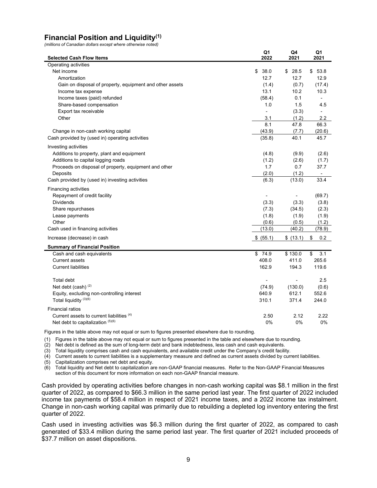# **Financial Position and Liquidity(1)**

*(millions of Canadian dollars except where otherwise noted)* 

| <b>Selected Cash Flow Items</b>                          | Q1<br>2022               | Q4<br>2021               | Q1<br>2021               |
|----------------------------------------------------------|--------------------------|--------------------------|--------------------------|
| Operating activities                                     |                          |                          |                          |
| Net income                                               | \$<br>38.0               | \$<br>28.5               | \$<br>53.8               |
| Amortization                                             | 12.7                     | 12.7                     | 12.9                     |
| Gain on disposal of property, equipment and other assets | (1.4)                    | (0.7)                    | (17.4)                   |
| Income tax expense                                       | 13.1                     | 10.2                     | 10.3                     |
| Income taxes (paid) refunded                             | (58.4)                   | 0.1                      |                          |
| Share-based compensation                                 | 1.0                      | 1.5                      | 4.5                      |
| Export tax receivable                                    | $\overline{\phantom{a}}$ | (3.3)                    | $\overline{\phantom{0}}$ |
| Other                                                    | 3.1                      | (1.2)                    | 2.2                      |
|                                                          | 8.1                      | 47.8                     | 66.3                     |
| Change in non-cash working capital                       | (43.9)                   | (7.7)                    | (20.6)                   |
| Cash provided by (used in) operating activities          | (35.8)                   | 40.1                     | 45.7                     |
| Investing activities                                     |                          |                          |                          |
| Additions to property, plant and equipment               | (4.8)                    | (9.9)                    | (2.6)                    |
| Additions to capital logging roads                       | (1.2)                    | (2.6)                    | (1.7)                    |
| Proceeds on disposal of property, equipment and other    | 1.7                      | 0.7                      | 37.7                     |
| Deposits                                                 | (2.0)                    | (1.2)                    | $\overline{\phantom{a}}$ |
| Cash provided by (used in) investing activities          | (6.3)                    | (13.0)                   | 33.4                     |
|                                                          |                          |                          |                          |
| Financing activities                                     |                          |                          |                          |
| Repayment of credit facility                             |                          | $\overline{\phantom{a}}$ | (69.7)                   |
| <b>Dividends</b>                                         | (3.3)                    | (3.3)                    | (3.8)                    |
| Share repurchases                                        | (7.3)                    | (34.5)                   | (2.3)                    |
| Lease payments                                           | (1.8)                    | (1.9)                    | (1.9)                    |
| Other                                                    | (0.6)                    | (0.5)                    | (1.2)                    |
| Cash used in financing activities                        | (13.0)                   | (40.2)                   | (78.9)                   |
| Increase (decrease) in cash                              | \$ (55.1)                | \$(13.1)                 | \$<br>0.2                |
| <b>Summary of Financial Position</b>                     |                          |                          |                          |
| Cash and cash equivalents                                | \$74.9                   | \$130.0                  | 3.1<br>\$                |
| <b>Current assets</b>                                    | 408.0                    | 411.0                    | 265.6                    |
| <b>Current liabilities</b>                               | 162.9                    | 194.3                    | 119.6                    |
| Total debt                                               |                          |                          | 2.5                      |
| Net debt (cash) <sup>(2)</sup>                           | (74.9)                   | (130.0)                  | (0.6)                    |
| Equity, excluding non-controlling interest               | 640.9                    | 612.1                    | 552.6                    |
| Total liquidity (3)(6)                                   | 310.1                    | 371.4                    | 244.0                    |
|                                                          |                          |                          |                          |
| <b>Financial ratios</b>                                  |                          |                          |                          |
| Current assets to current liabilities (4)                | 2.50                     | 2.12                     | 2.22                     |
| Net debt to capitalization (5)(6)                        | 0%                       | 0%                       | 0%                       |

Figures in the table above may not equal or sum to figures presented elsewhere due to rounding.

(1) Figures in the table above may not equal or sum to figures presented in the table and elsewhere due to rounding.

(2) Net debt is defined as the sum of long-term debt and bank indebtedness, less cash and cash equivalents.

(3) Total liquidity comprises cash and cash equivalents, and available credit under the Company's credit facility.

(4) Current assets to current liabilities is a supplementary measure and defined as current assets divided by current liabilities.

 $(5)$  Capitalization comprises net debt and equity.

(6) Total liquidity and Net debt to capitalization are non-GAAP financial measures. Refer to the Non-GAAP Financial Measures section of this document for more information on each non-GAAP financial measure.

Cash provided by operating activities before changes in non-cash working capital was \$8.1 million in the first quarter of 2022, as compared to \$66.3 million in the same period last year. The first quarter of 2022 included income tax payments of \$58.4 million in respect of 2021 income taxes, and a 2022 income tax instalment. Change in non-cash working capital was primarily due to rebuilding a depleted log inventory entering the first quarter of 2022.

Cash used in investing activities was \$6.3 million during the first quarter of 2022, as compared to cash generated of \$33.4 million during the same period last year. The first quarter of 2021 included proceeds of \$37.7 million on asset dispositions.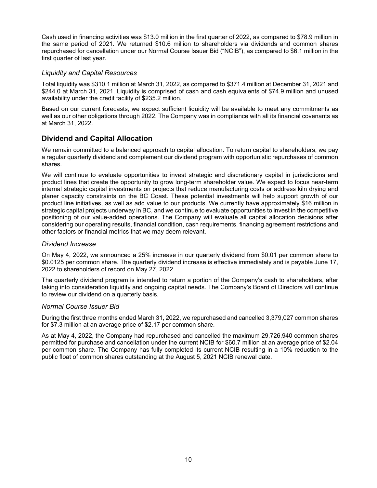Cash used in financing activities was \$13.0 million in the first quarter of 2022, as compared to \$78.9 million in the same period of 2021. We returned \$10.6 million to shareholders via dividends and common shares repurchased for cancellation under our Normal Course Issuer Bid ("NCIB"), as compared to \$6.1 million in the first quarter of last year.

# *Liquidity and Capital Resources*

Total liquidity was \$310.1 million at March 31, 2022, as compared to \$371.4 million at December 31, 2021 and \$244.0 at March 31, 2021. Liquidity is comprised of cash and cash equivalents of \$74.9 million and unused availability under the credit facility of \$235.2 million.

Based on our current forecasts, we expect sufficient liquidity will be available to meet any commitments as well as our other obligations through 2022. The Company was in compliance with all its financial covenants as at March 31, 2022.

# **Dividend and Capital Allocation**

We remain committed to a balanced approach to capital allocation. To return capital to shareholders, we pay a regular quarterly dividend and complement our dividend program with opportunistic repurchases of common shares.

We will continue to evaluate opportunities to invest strategic and discretionary capital in jurisdictions and product lines that create the opportunity to grow long-term shareholder value. We expect to focus near-term internal strategic capital investments on projects that reduce manufacturing costs or address kiln drying and planer capacity constraints on the BC Coast. These potential investments will help support growth of our product line initiatives, as well as add value to our products. We currently have approximately \$16 million in strategic capital projects underway in BC, and we continue to evaluate opportunities to invest in the competitive positioning of our value-added operations. The Company will evaluate all capital allocation decisions after considering our operating results, financial condition, cash requirements, financing agreement restrictions and other factors or financial metrics that we may deem relevant.

# *Dividend Increase*

On May 4, 2022, we announced a 25% increase in our quarterly dividend from \$0.01 per common share to \$0.0125 per common share. The quarterly dividend increase is effective immediately and is payable June 17, 2022 to shareholders of record on May 27, 2022.

The quarterly dividend program is intended to return a portion of the Company's cash to shareholders, after taking into consideration liquidity and ongoing capital needs. The Company's Board of Directors will continue to review our dividend on a quarterly basis.

# *Normal Course Issuer Bid*

During the first three months ended March 31, 2022, we repurchased and cancelled 3,379,027 common shares for \$7.3 million at an average price of \$2.17 per common share.

As at May 4, 2022, the Company had repurchased and cancelled the maximum 29,726,940 common shares permitted for purchase and cancellation under the current NCIB for \$60.7 million at an average price of \$2.04 per common share. The Company has fully completed its current NCIB resulting in a 10% reduction to the public float of common shares outstanding at the August 5, 2021 NCIB renewal date.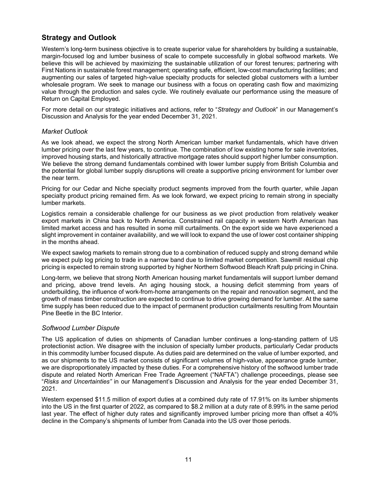# **Strategy and Outlook**

Western's long-term business objective is to create superior value for shareholders by building a sustainable, margin-focused log and lumber business of scale to compete successfully in global softwood markets. We believe this will be achieved by maximizing the sustainable utilization of our forest tenures; partnering with First Nations in sustainable forest management; operating safe, efficient, low-cost manufacturing facilities; and augmenting our sales of targeted high-value specialty products for selected global customers with a lumber wholesale program. We seek to manage our business with a focus on operating cash flow and maximizing value through the production and sales cycle. We routinely evaluate our performance using the measure of Return on Capital Employed.

For more detail on our strategic initiatives and actions, refer to "*Strategy and Outlook*" in our Management's Discussion and Analysis for the year ended December 31, 2021.

### *Market Outlook*

As we look ahead, we expect the strong North American lumber market fundamentals, which have driven lumber pricing over the last few years, to continue. The combination of low existing home for sale inventories, improved housing starts, and historically attractive mortgage rates should support higher lumber consumption. We believe the strong demand fundamentals combined with lower lumber supply from British Columbia and the potential for global lumber supply disruptions will create a supportive pricing environment for lumber over the near term.

Pricing for our Cedar and Niche specialty product segments improved from the fourth quarter, while Japan specialty product pricing remained firm. As we look forward, we expect pricing to remain strong in specialty lumber markets.

Logistics remain a considerable challenge for our business as we pivot production from relatively weaker export markets in China back to North America. Constrained rail capacity in western North American has limited market access and has resulted in some mill curtailments. On the export side we have experienced a slight improvement in container availability, and we will look to expand the use of lower cost container shipping in the months ahead.

We expect sawlog markets to remain strong due to a combination of reduced supply and strong demand while we expect pulp log pricing to trade in a narrow band due to limited market competition. Sawmill residual chip pricing is expected to remain strong supported by higher Northern Softwood Bleach Kraft pulp pricing in China.

Long-term, we believe that strong North American housing market fundamentals will support lumber demand and pricing, above trend levels. An aging housing stock, a housing deficit stemming from years of underbuilding, the influence of work-from-home arrangements on the repair and renovation segment, and the growth of mass timber construction are expected to continue to drive growing demand for lumber. At the same time supply has been reduced due to the impact of permanent production curtailments resulting from Mountain Pine Beetle in the BC Interior.

# *Softwood Lumber Dispute*

The US application of duties on shipments of Canadian lumber continues a long-standing pattern of US protectionist action. We disagree with the inclusion of specialty lumber products, particularly Cedar products in this commodity lumber focused dispute. As duties paid are determined on the value of lumber exported, and as our shipments to the US market consists of significant volumes of high-value, appearance grade lumber, we are disproportionately impacted by these duties. For a comprehensive history of the softwood lumber trade dispute and related North American Free Trade Agreement ("NAFTA") challenge proceedings, please see "*Risks and Uncertainties"* in our Management's Discussion and Analysis for the year ended December 31, 2021.

Western expensed \$11.5 million of export duties at a combined duty rate of 17.91% on its lumber shipments into the US in the first quarter of 2022, as compared to \$8.2 million at a duty rate of 8.99% in the same period last year. The effect of higher duty rates and significantly improved lumber pricing more than offset a 40% decline in the Company's shipments of lumber from Canada into the US over those periods.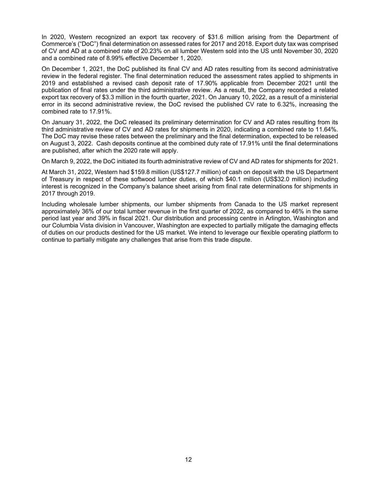In 2020, Western recognized an export tax recovery of \$31.6 million arising from the Department of Commerce's ("DoC") final determination on assessed rates for 2017 and 2018. Export duty tax was comprised of CV and AD at a combined rate of 20.23% on all lumber Western sold into the US until November 30, 2020 and a combined rate of 8.99% effective December 1, 2020.

On December 1, 2021, the DoC published its final CV and AD rates resulting from its second administrative review in the federal register. The final determination reduced the assessment rates applied to shipments in 2019 and established a revised cash deposit rate of 17.90% applicable from December 2021 until the publication of final rates under the third administrative review. As a result, the Company recorded a related export tax recovery of \$3.3 million in the fourth quarter, 2021. On January 10, 2022, as a result of a ministerial error in its second administrative review, the DoC revised the published CV rate to 6.32%, increasing the combined rate to 17.91%.

On January 31, 2022, the DoC released its preliminary determination for CV and AD rates resulting from its third administrative review of CV and AD rates for shipments in 2020, indicating a combined rate to 11.64%. The DoC may revise these rates between the preliminary and the final determination, expected to be released on August 3, 2022. Cash deposits continue at the combined duty rate of 17.91% until the final determinations are published, after which the 2020 rate will apply.

On March 9, 2022, the DoC initiated its fourth administrative review of CV and AD rates for shipments for 2021.

At March 31, 2022, Western had \$159.8 million (US\$127.7 million) of cash on deposit with the US Department of Treasury in respect of these softwood lumber duties, of which \$40.1 million (US\$32.0 million) including interest is recognized in the Company's balance sheet arising from final rate determinations for shipments in 2017 through 2019.

Including wholesale lumber shipments, our lumber shipments from Canada to the US market represent approximately 36% of our total lumber revenue in the first quarter of 2022, as compared to 46% in the same period last year and 39% in fiscal 2021. Our distribution and processing centre in Arlington, Washington and our Columbia Vista division in Vancouver, Washington are expected to partially mitigate the damaging effects of duties on our products destined for the US market. We intend to leverage our flexible operating platform to continue to partially mitigate any challenges that arise from this trade dispute.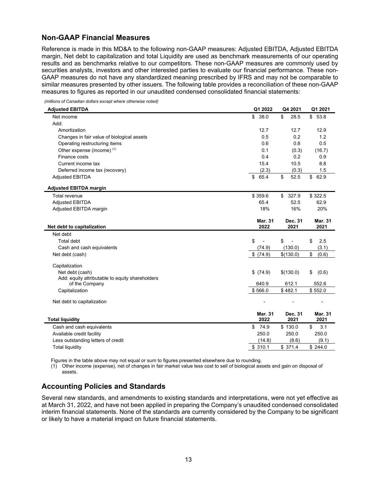# **Non-GAAP Financial Measures**

Reference is made in this MD&A to the following non-GAAP measures: Adjusted EBITDA, Adjusted EBITDA margin, Net debt to capitalization and total Liquidity are used as benchmark measurements of our operating results and as benchmarks relative to our competitors. These non-GAAP measures are commonly used by securities analysts, investors and other interested parties to evaluate our financial performance. These non-GAAP measures do not have any standardized meaning prescribed by IFRS and may not be comparable to similar measures presented by other issuers. The following table provides a reconciliation of these non-GAAP measures to figures as reported in our unaudited condensed consolidated financial statements:

*(millions of Canadian dollars except where otherwise noted)* 

| <b>Adjusted EBITDA</b>                          | Q1 2022                | Q4 2021               | Q1 2021                |
|-------------------------------------------------|------------------------|-----------------------|------------------------|
| Net income                                      | \$<br>38.0             | \$<br>28.5            | \$53.8                 |
| Add:                                            |                        |                       |                        |
| Amortization                                    | 12.7                   | 12.7                  | 12.9                   |
| Changes in fair value of biological assets      | 0.5                    | 0.2                   | 1.2                    |
| Operating restructuring items                   | 0.6                    | 0.8                   | 0.5                    |
| Other expense (income) (1)                      | 0.1                    | (0.3)                 | (16.7)                 |
| Finance costs                                   | 0.4                    | 0.2                   | 0.9                    |
| Current income tax                              | 15.4                   | 10.5                  | 8.8                    |
| Deferred income tax (recovery)                  | (2.3)                  | (0.3)                 | 1.5                    |
| <b>Adjusted EBITDA</b>                          | 65.4<br>\$             | 52.5<br>\$            | 62.9<br>\$             |
| <b>Adjusted EBITDA margin</b>                   |                        |                       |                        |
| Total revenue                                   | \$359.6                | $\mathbb{S}$<br>327.9 | \$322.5                |
| <b>Adjusted EBITDA</b>                          | 65.4                   | 52.5                  | 62.9                   |
| Adjusted EBITDA margin                          | 18%                    | 16%                   | 20%                    |
| Net debt to capitalization                      | <b>Mar. 31</b><br>2022 | Dec. 31<br>2021       | Mar. 31<br>2021        |
| Net debt                                        |                        |                       |                        |
| Total debt                                      | \$<br>L,               | \$<br>L               | \$<br>2.5              |
| Cash and cash equivalents                       | (74.9)                 | (130.0)               | (3.1)                  |
| Net debt (cash)                                 | \$(74.9)               | \$(130.0)             | \$<br>(0.6)            |
| Capitalization                                  |                        |                       |                        |
| Net debt (cash)                                 | \$ (74.9)              | \$(130.0)             | \$<br>(0.6)            |
| Add: equity attributable to equity shareholders |                        |                       |                        |
| of the Company                                  | 640.9                  | 612.1                 | 552.6                  |
| Capitalization                                  | \$566.0                | \$482.1               | \$552.0                |
| Net debt to capitalization                      |                        |                       |                        |
| <b>Total liquidity</b>                          | <b>Mar. 31</b><br>2022 | Dec. 31<br>2021       | <b>Mar. 31</b><br>2021 |
| Cash and cash equivalents                       | 74.9<br>\$             | \$130.0               | \$<br>3.1              |
| Available credit facility                       | 250.0                  | 250.0                 | 250.0                  |
| Less outstanding letters of credit              | (14.8)                 | (8.6)                 | (9.1)                  |
| <b>Total liquidity</b>                          | \$310.1                | \$371.4               | \$244.0                |

Figures in the table above may not equal or sum to figures presented elsewhere due to rounding.

(1) Other income (expense), net of changes in fair market value less cost to sell of biological assets and gain on disposal of assets.

# **Accounting Policies and Standards**

Several new standards, and amendments to existing standards and interpretations, were not yet effective as at March 31, 2022, and have not been applied in preparing the Company's unaudited condensed consolidated interim financial statements. None of the standards are currently considered by the Company to be significant or likely to have a material impact on future financial statements.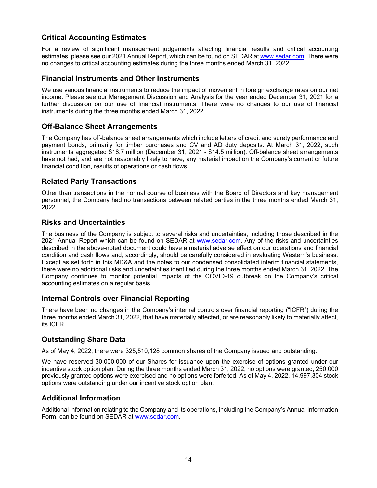# **Critical Accounting Estimates**

For a review of significant management judgements affecting financial results and critical accounting estimates, please see our 2021 Annual Report, which can be found on SEDAR at www.sedar.com. There were no changes to critical accounting estimates during the three months ended March 31, 2022.

# **Financial Instruments and Other Instruments**

We use various financial instruments to reduce the impact of movement in foreign exchange rates on our net income. Please see our Management Discussion and Analysis for the year ended December 31, 2021 for a further discussion on our use of financial instruments. There were no changes to our use of financial instruments during the three months ended March 31, 2022.

# **Off-Balance Sheet Arrangements**

The Company has off-balance sheet arrangements which include letters of credit and surety performance and payment bonds, primarily for timber purchases and CV and AD duty deposits. At March 31, 2022, such instruments aggregated \$18.7 million (December 31, 2021 - \$14.5 million). Off-balance sheet arrangements have not had, and are not reasonably likely to have, any material impact on the Company's current or future financial condition, results of operations or cash flows.

# **Related Party Transactions**

Other than transactions in the normal course of business with the Board of Directors and key management personnel, the Company had no transactions between related parties in the three months ended March 31, 2022.

# **Risks and Uncertainties**

The business of the Company is subject to several risks and uncertainties, including those described in the 2021 Annual Report which can be found on SEDAR at www.sedar.com. Any of the risks and uncertainties described in the above-noted document could have a material adverse effect on our operations and financial condition and cash flows and, accordingly, should be carefully considered in evaluating Western's business. Except as set forth in this MD&A and the notes to our condensed consolidated interim financial statements, there were no additional risks and uncertainties identified during the three months ended March 31, 2022. The Company continues to monitor potential impacts of the COVID-19 outbreak on the Company's critical accounting estimates on a regular basis.

# **Internal Controls over Financial Reporting**

There have been no changes in the Company's internal controls over financial reporting ("ICFR") during the three months ended March 31, 2022, that have materially affected, or are reasonably likely to materially affect, its ICFR.

# **Outstanding Share Data**

As of May 4, 2022, there were 325,510,128 common shares of the Company issued and outstanding.

We have reserved 30,000,000 of our Shares for issuance upon the exercise of options granted under our incentive stock option plan. During the three months ended March 31, 2022, no options were granted, 250,000 previously granted options were exercised and no options were forfeited. As of May 4, 2022, 14,997,304 stock options were outstanding under our incentive stock option plan.

# **Additional Information**

Additional information relating to the Company and its operations, including the Company's Annual Information Form, can be found on SEDAR at www.sedar.com.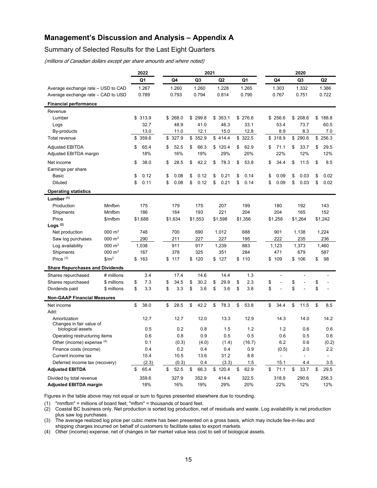# **Management's Discussion and Analysis – Appendix A**

# Summary of Selected Results for the Last Eight Quarters

(millions of Canadian dollars except per share amounts and where noted)

|                                        |                       | 2022           | 2021 |         |    |                |    |                | 2020 |         |    |                |    |                |    |                |
|----------------------------------------|-----------------------|----------------|------|---------|----|----------------|----|----------------|------|---------|----|----------------|----|----------------|----|----------------|
|                                        |                       | Q <sub>1</sub> |      | Q4      |    | Q <sub>3</sub> |    | Q <sub>2</sub> |      | Q1      |    | Q4             |    | Q3             |    | Q <sub>2</sub> |
| Average exchange rate - USD to CAD     |                       | 1.267          |      | 1.260   |    | 1.260          |    | 1.228          |      | 1.265   |    | 1.303          |    | 1.332          |    | 1.386          |
| Average exchange rate - CAD to USD     |                       | 0.789          |      | 0.793   |    | 0.794          |    | 0.814          |      | 0.790   |    | 0.767          |    | 0.751          |    | 0.722          |
| <b>Financial performance</b>           |                       |                |      |         |    |                |    |                |      |         |    |                |    |                |    |                |
| Revenue                                |                       |                |      |         |    |                |    |                |      |         |    |                |    |                |    |                |
| Lumber                                 |                       | \$313.9        |      | \$268.0 |    | \$299.8        |    | \$353.1        |      | \$276.6 | \$ | 256.6          |    | \$208.6        |    | \$188.8        |
| Logs                                   |                       | 32.7           |      | 48.9    |    | 41.0           |    | 46.3           |      | 33.1    |    | 53.4           |    | 73.7           |    | 60.5           |
| By-products                            |                       | 13.0           |      | 11.0    |    | 12.1           |    | 15.0           |      | 12.8    |    | 8.9            |    | 8.3            |    | 7.0            |
| <b>Total revenue</b>                   |                       | \$359.6        |      | \$327.9 |    | \$352.9        |    | \$414.4        |      | \$322.5 |    | \$318.9        |    | \$290.6        |    | \$256.3        |
| <b>Adjusted EBITDA</b>                 |                       | \$<br>65.4     | \$   | 52.5    | \$ | 66.3           |    | \$120.4        | \$   | 62.9    | \$ | 71.1           | \$ | 33.7           | \$ | 29.5           |
| Adjusted EBITDA margin                 |                       | 18%            |      | 16%     |    | 19%            |    | 29%            |      | 20%     |    | 22%            |    | 12%            |    | 12%            |
| Net income                             |                       | \$<br>38.0     | \$   | 28.5    | \$ | 42.2           | \$ | 78.3           | \$   | 53.8    | \$ | 34.4           | \$ | 11.5           | \$ | 8.5            |
| Earnings per share                     |                       |                |      |         |    |                |    |                |      |         |    |                |    |                |    |                |
| Basic                                  |                       | \$<br>0.12     | \$   | 0.08    | \$ | 0.12           | \$ | 0.21           | \$   | 0.14    | \$ | 0.09           | \$ | 0.03           | \$ | 0.02           |
| <b>Diluted</b>                         |                       | \$<br>0.11     | \$   | 0.08    | \$ | 0.12           | \$ | 0.21           | \$   | 0.14    | \$ | 0.09           | \$ | 0.03           | \$ | 0.02           |
| <b>Operating statistics</b>            |                       |                |      |         |    |                |    |                |      |         |    |                |    |                |    |                |
| Lumber $(1)$                           |                       |                |      |         |    |                |    |                |      |         |    |                |    |                |    |                |
| Production                             | Mmfbm                 | 175            |      | 179     |    | 175            |    | 207            |      | 199     |    | 180            |    | 192            |    | 143            |
| Shipments                              | Mmfbm                 | 186            |      | 164     |    | 193            |    | 221            |      | 204     |    | 204            |    | 165            |    | 152            |
| Price                                  | \$/mfbm               | \$1,688        |      | \$1,634 |    | \$1,553        |    | \$1,598        |      | \$1,356 |    | \$1,258        |    | \$1,264        |    | \$1,242        |
| Logs $(2)$                             |                       |                |      |         |    |                |    |                |      |         |    |                |    |                |    |                |
| Net production                         | $000 \; \text{m}^3$   | 748            |      | 700     |    | 690            |    | 1,012          |      | 688     |    | 901            |    | 1,138          |    | 1,224          |
| Saw log purchases                      | $000 \; \text{m}^3$   | 290            |      | 211     |    | 227            |    | 227            |      | 195     |    | 222            |    | 235            |    | 236            |
| Log availability                       | $000 \; \mathrm{m}^3$ | 1,038          |      | 911     |    | 917            |    | 1,239          |      | 883     |    | 1,123          |    | 1,373          |    | 1,460          |
| Shipments                              | $000 \; \text{m}^3$   | 167            |      | 378     |    | 325            |    | 351            |      | 284     |    | 471            |    | 679            |    | 587            |
| Price $(3)$                            | $$/m^3$               | \$<br>163      | \$   | 117     | \$ | 120            | \$ | 127            | \$   | 110     | \$ | 109            | \$ | 106            | \$ | 98             |
| <b>Share Repurchases and Dividends</b> |                       |                |      |         |    |                |    |                |      |         |    |                |    |                |    |                |
| Shares repurchased                     | # millions            | 3.4            |      | 17.4    |    | 14.6           |    | 14.4           |      | 1.3     |    | $\overline{a}$ |    | $\overline{a}$ |    | $\overline{a}$ |
| Shares repurchased                     | \$ millions           | \$<br>7.3      | \$   | 34.5    | \$ | 30.2           | \$ | 29.9           | \$   | 2.3     | \$ |                | \$ | L,             | \$ |                |
| Dividends paid                         | \$ millions           | \$<br>3.3      | \$   | 3.3     | \$ | 3.6            | \$ | 3.6            | \$   | 3.8     | \$ | $\overline{a}$ | \$ | $\overline{a}$ | \$ |                |
| <b>Non-GAAP Financial Measures</b>     |                       |                |      |         |    |                |    |                |      |         |    |                |    |                |    |                |
| Net income                             |                       | \$<br>38.0     | \$   | 28.5    | \$ | 42.2           | \$ | 78.3           | \$   | 53.8    | \$ | 34.4           | \$ | 11.5           | \$ | 8.5            |
| Add:                                   |                       |                |      |         |    |                |    |                |      |         |    |                |    |                |    |                |
| Amortization                           |                       | 12.7           |      | 12.7    |    | 12.0           |    | 13.3           |      | 12.9    |    | 14.3           |    | 14.0           |    | 14.2           |
| Changes in fair value of               |                       |                |      |         |    |                |    |                |      |         |    |                |    |                |    |                |
| biological assets                      |                       | 0.5            |      | 0.2     |    | 0.8            |    | 1.5            |      | 1.2     |    | 1.2            |    | 0.6            |    | 0.6            |
| Operating restructuring items          |                       | 0.6            |      | 0.8     |    | 0.9            |    | 0.5            |      | 0.5     |    | 0.6            |    | 0.5            |    | 0.6            |
| Other (income) expense (4)             |                       | 0.1            |      | (0.3)   |    | (4.0)          |    | (1.4)          |      | (16.7)  |    | 6.2            |    | 0.6            |    | (0.2)          |
| Finance costs (income)                 |                       | 0.4            |      | 0.2     |    | 0.4            |    | 0.4            |      | 0.9     |    | (0.5)          |    | 2.0            |    | 2.2            |
| Current income tax                     |                       | 15.4           |      | 10.5    |    | 13.6           |    | 31.2           |      | 8.8     |    | $\overline{a}$ |    |                |    |                |
| Deferred income tax (recovery)         |                       | (2.3)          |      | (0.3)   |    | 0.4            |    | (3.3)          |      | 1.5     |    | 15.1           |    | 4.4            |    | 3.5            |
| <b>Adjusted EBITDA</b>                 |                       | \$<br>65.4     | \$   | 52.5    | \$ | 66.3           |    | \$120.4        | \$   | 62.9    | \$ | 71.1           | \$ | 33.7           | \$ | 29.5           |
| Divided by total revenue               |                       | 359.6          |      | 327.9   |    | 352.9          |    | 414.4          |      | 322.5   |    | 318.9          |    | 290.6          |    | 256.3          |
| <b>Adjusted EBITDA margin</b>          |                       | 18%            |      | 16%     |    | 19%            |    | 29%            |      | 20%     |    | 22%            |    | 12%            |    | 12%            |

Figures in the table above may not equal or sum to figures presented elsewhere due to rounding.

(1) "mmfbm" = millions of board feet; "mfbm" = thousands of board feet.

(2) Coastal BC business only. Net production is sorted log production, net of residuals and waste. Log availability is net production plus saw log purchases.

(3) The average realized log price per cubic metre has been presented on a gross basis, which may include fee-in-lieu and shipping charges incurred on behalf of customers to facilitate sales to export markets.

(4) Other (income) expense, net of changes in fair market value less cost to sell of biological assets.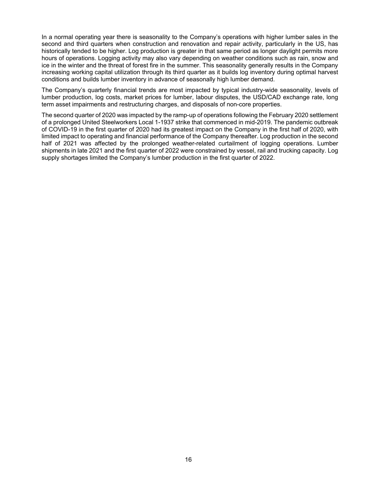In a normal operating year there is seasonality to the Company's operations with higher lumber sales in the second and third quarters when construction and renovation and repair activity, particularly in the US, has historically tended to be higher. Log production is greater in that same period as longer daylight permits more hours of operations. Logging activity may also vary depending on weather conditions such as rain, snow and ice in the winter and the threat of forest fire in the summer. This seasonality generally results in the Company increasing working capital utilization through its third quarter as it builds log inventory during optimal harvest conditions and builds lumber inventory in advance of seasonally high lumber demand.

The Company's quarterly financial trends are most impacted by typical industry-wide seasonality, levels of lumber production, log costs, market prices for lumber, labour disputes, the USD/CAD exchange rate, long term asset impairments and restructuring charges, and disposals of non-core properties.

The second quarter of 2020 was impacted by the ramp-up of operations following the February 2020 settlement of a prolonged United Steelworkers Local 1-1937 strike that commenced in mid-2019. The pandemic outbreak of COVID-19 in the first quarter of 2020 had its greatest impact on the Company in the first half of 2020, with limited impact to operating and financial performance of the Company thereafter. Log production in the second half of 2021 was affected by the prolonged weather-related curtailment of logging operations. Lumber shipments in late 2021 and the first quarter of 2022 were constrained by vessel, rail and trucking capacity. Log supply shortages limited the Company's lumber production in the first quarter of 2022.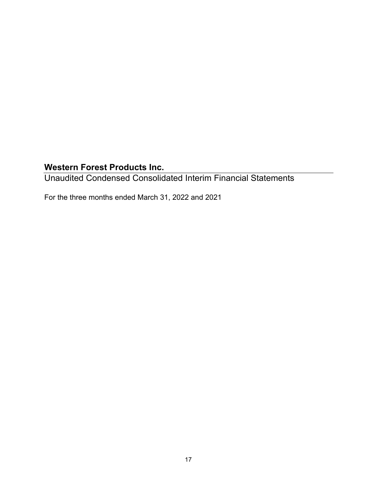Unaudited Condensed Consolidated Interim Financial Statements

For the three months ended March 31, 2022 and 2021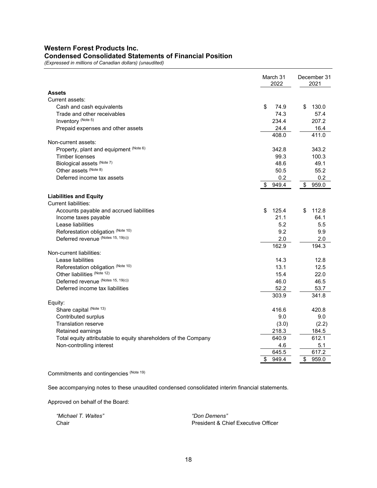# **Western Forest Products Inc. Condensed Consolidated Statements of Financial Position**

*(Expressed in millions of Canadian dollars) (unaudited)* 

|                                                                 | March 31<br>2022 | December 31<br>2021 |
|-----------------------------------------------------------------|------------------|---------------------|
| <b>Assets</b>                                                   |                  |                     |
| Current assets:                                                 |                  |                     |
| Cash and cash equivalents                                       | \$<br>74.9       | \$<br>130.0         |
| Trade and other receivables                                     | 74.3             | 57.4                |
| Inventory (Note 5)                                              | 234.4            | 207.2               |
| Prepaid expenses and other assets                               | 24.4             | 16.4                |
|                                                                 | 408.0            | 411.0               |
| Non-current assets:                                             |                  |                     |
| Property, plant and equipment (Note 6)                          | 342.8            | 343.2               |
| <b>Timber licenses</b>                                          | 99.3             | 100.3               |
| Biological assets (Note 7)                                      | 48.6             | 49.1                |
| Other assets (Note 8)                                           | 50.5             | 55.2                |
| Deferred income tax assets                                      | 0.2              | 0.2                 |
|                                                                 | \$<br>949.4      | \$<br>959.0         |
| <b>Liabilities and Equity</b>                                   |                  |                     |
| <b>Current liabilities:</b>                                     |                  |                     |
| Accounts payable and accrued liabilities                        | 125.4<br>\$      | \$<br>112.8         |
| Income taxes payable                                            | 21.1             | 64.1                |
| Lease liabilities                                               | 5.2              | 5.5                 |
| Reforestation obligation (Note 10)                              | 9.2              | 9.9                 |
| Deferred revenue (Notes 15, 19(c))                              | 2.0              | 2.0                 |
|                                                                 | 162.9            | 194.3               |
| Non-current liabilities:                                        |                  |                     |
| Lease liabilities                                               | 14.3             | 12.8                |
| Reforestation obligation (Note 10)                              | 13.1             | 12.5                |
| Other liabilities (Note 12)                                     | 15.4             | 22.0                |
| Deferred revenue (Notes 15, 19(c))                              | 46.0             | 46.5                |
| Deferred income tax liabilities                                 | 52.2             | 53.7                |
|                                                                 | 303.9            | 341.8               |
| Equity:                                                         |                  |                     |
| Share capital (Note 13)                                         | 416.6            | 420.8               |
| Contributed surplus                                             | 9.0              | 9.0                 |
| <b>Translation reserve</b>                                      | (3.0)            | (2.2)               |
| Retained earnings                                               | 218.3            | 184.5               |
| Total equity attributable to equity shareholders of the Company | 640.9            | 612.1               |
| Non-controlling interest                                        | 4.6              | 5.1                 |
|                                                                 | 645.5            | 617.2               |
|                                                                 | \$<br>949.4      | \$<br>959.0         |

Commitments and contingencies (Note 19)

See accompanying notes to these unaudited condensed consolidated interim financial statements.

Approved on behalf of the Board:

 *"Michael T. Waites" "Don Demens"*

Chair **President & Chief Executive Officer** President & Chief Executive Officer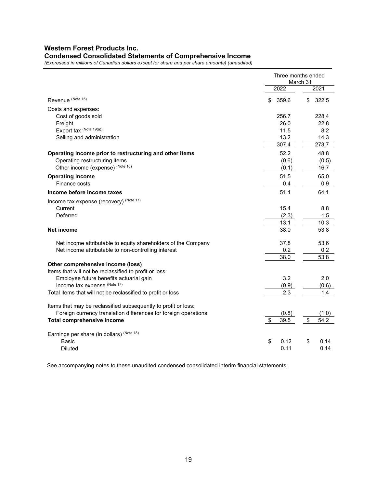# **Western Forest Products Inc. Condensed Consolidated Statements of Comprehensive Income**

*(Expressed in millions of Canadian dollars except for share and per share amounts) (unaudited)* 

|                                                                 | Three months ended<br>March 31 |    |       |  |  |
|-----------------------------------------------------------------|--------------------------------|----|-------|--|--|
|                                                                 | 2022                           |    | 2021  |  |  |
| Revenue (Note 15)                                               | \$<br>359.6                    | \$ | 322.5 |  |  |
| Costs and expenses:                                             |                                |    |       |  |  |
| Cost of goods sold                                              | 256.7                          |    | 228.4 |  |  |
| Freight                                                         | 26.0                           |    | 22.8  |  |  |
| Export tax (Note 19(a))                                         | 11.5                           |    | 8.2   |  |  |
| Selling and administration                                      | 13.2                           |    | 14.3  |  |  |
|                                                                 | 307.4                          |    | 273.7 |  |  |
| Operating income prior to restructuring and other items         | 52.2                           |    | 48.8  |  |  |
| Operating restructuring items                                   | (0.6)                          |    | (0.5) |  |  |
| Other income (expense) (Note 16)                                | (0.1)                          |    | 16.7  |  |  |
| <b>Operating income</b>                                         | 51.5                           |    | 65.0  |  |  |
| Finance costs                                                   | 0.4                            |    | 0.9   |  |  |
| Income before income taxes                                      | 51.1                           |    | 64.1  |  |  |
| Income tax expense (recovery) (Note 17)                         |                                |    |       |  |  |
| Current                                                         | 15.4                           |    | 8.8   |  |  |
| Deferred                                                        | (2.3)                          |    | 1.5   |  |  |
|                                                                 | 13.1                           |    | 10.3  |  |  |
| Net income                                                      | 38.0                           |    | 53.8  |  |  |
| Net income attributable to equity shareholders of the Company   | 37.8                           |    | 53.6  |  |  |
| Net income attributable to non-controlling interest             | 0.2                            |    | 0.2   |  |  |
|                                                                 | 38.0                           |    | 53.8  |  |  |
| Other comprehensive income (loss)                               |                                |    |       |  |  |
| Items that will not be reclassified to profit or loss:          |                                |    |       |  |  |
| Employee future benefits actuarial gain                         | 3.2                            |    | 2.0   |  |  |
| Income tax expense (Note 17)                                    | (0.9)                          |    | (0.6) |  |  |
| Total items that will not be reclassified to profit or loss     | 2.3                            |    | 1.4   |  |  |
| Items that may be reclassified subsequently to profit or loss:  |                                |    |       |  |  |
| Foreign currency translation differences for foreign operations | (0.8)                          |    | (1.0) |  |  |
| <b>Total comprehensive income</b>                               | \$<br>39.5                     | \$ | 54.2  |  |  |
| Earnings per share (in dollars) (Note 18)                       |                                |    |       |  |  |
| Basic                                                           | \$<br>0.12                     | \$ | 0.14  |  |  |
| <b>Diluted</b>                                                  | 0.11                           |    | 0.14  |  |  |

See accompanying notes to these unaudited condensed consolidated interim financial statements.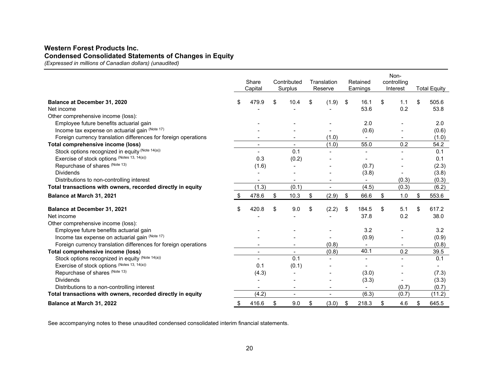# **Western Forest Products Inc. Condensed Consolidated Statements of Changes in Equity**

*(Expressed in millions of Canadian dollars) (unaudited)* 

|                                                                 | Share<br>Capital         | Contributed<br>Surplus | Translation<br>Reserve   | Retained<br>Earnings | Non-<br>controlling<br>Interest | <b>Total Equity</b> |
|-----------------------------------------------------------------|--------------------------|------------------------|--------------------------|----------------------|---------------------------------|---------------------|
| Balance at December 31, 2020                                    | \$<br>479.9              | \$<br>10.4             | \$<br>(1.9)              | \$<br>16.1           | \$<br>1.1                       | \$<br>505.6         |
| Net income                                                      |                          |                        |                          | 53.6                 | 0.2                             | 53.8                |
| Other comprehensive income (loss):                              |                          |                        |                          |                      |                                 |                     |
| Employee future benefits actuarial gain                         |                          |                        |                          | 2.0                  |                                 | 2.0                 |
| Income tax expense on actuarial gain (Note 17)                  |                          |                        |                          | (0.6)                |                                 | (0.6)               |
| Foreign currency translation differences for foreign operations |                          |                        | (1.0)                    |                      |                                 | (1.0)               |
| Total comprehensive income (loss)                               | $\blacksquare$           |                        | (1.0)                    | 55.0                 | 0.2                             | 54.2                |
| Stock options recognized in equity (Note 14(a))                 |                          | 0.1                    |                          |                      |                                 | 0.1                 |
| Exercise of stock options (Notes 13, 14(a))                     | 0.3                      | (0.2)                  |                          |                      |                                 | 0.1                 |
| Repurchase of shares (Note 13)                                  | (1.6)                    |                        |                          | (0.7)                |                                 | (2.3)               |
| <b>Dividends</b>                                                |                          |                        |                          | (3.8)                |                                 | (3.8)               |
| Distributions to non-controlling interest                       | $\overline{\phantom{a}}$ | $\blacksquare$         | $\overline{\phantom{a}}$ | $\blacksquare$       | (0.3)                           | (0.3)               |
| Total transactions with owners, recorded directly in equity     | (1.3)                    | (0.1)                  | $\blacksquare$           | (4.5)                | (0.3)                           | (6.2)               |
| Balance at March 31, 2021                                       | 478.6                    | \$<br>10.3             | \$<br>(2.9)              | \$<br>66.6           | \$<br>1.0                       | \$<br>553.6         |
| Balance at December 31, 2021                                    | \$<br>420.8              | \$<br>9.0              | \$<br>(2.2)              | \$<br>184.5          | \$<br>5.1                       | \$<br>617.2         |
| Net income                                                      |                          |                        |                          | 37.8                 | 0.2                             | 38.0                |
| Other comprehensive income (loss):                              |                          |                        |                          |                      |                                 |                     |
| Employee future benefits actuarial gain                         |                          |                        |                          | 3.2                  |                                 | 3.2                 |
| Income tax expense on actuarial gain (Note 17)                  |                          |                        |                          | (0.9)                |                                 | (0.9)               |
| Foreign currency translation differences for foreign operations |                          |                        | (0.8)                    |                      |                                 | (0.8)               |
| Total comprehensive income (loss)                               |                          | $\blacksquare$         | (0.8)                    | 40.1                 | 0.2                             | 39.5                |
| Stock options recognized in equity (Note 14(a))                 |                          | 0.1                    |                          |                      |                                 | 0.1                 |
| Exercise of stock options (Notes 13, 14(a))                     | 0.1                      | (0.1)                  |                          |                      |                                 |                     |
| Repurchase of shares (Note 13)                                  | (4.3)                    |                        |                          | (3.0)                |                                 | (7.3)               |
| <b>Dividends</b>                                                |                          |                        |                          | (3.3)                |                                 | (3.3)               |
| Distributions to a non-controlling interest                     |                          |                        | $\overline{\phantom{0}}$ |                      | (0.7)                           | (0.7)               |
| Total transactions with owners, recorded directly in equity     | (4.2)                    | $\blacksquare$         | $\overline{\phantom{a}}$ | (6.3)                | (0.7)                           | (11.2)              |
| Balance at March 31, 2022                                       | \$<br>416.6              | \$<br>9.0              | \$<br>(3.0)              | \$<br>218.3          | \$<br>4.6                       | \$<br>645.5         |

See accompanying notes to these unaudited condensed consolidated interim financial statements.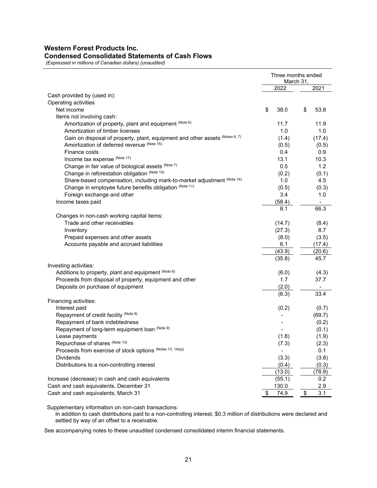# **Western Forest Products Inc. Condensed Consolidated Statements of Cash Flows**

 *(Expressed in millions of Canadian dollars) (unaudited)* 

|                                                                              | Three months ended<br>March 31, |            |  |  |
|------------------------------------------------------------------------------|---------------------------------|------------|--|--|
|                                                                              | 2022                            | 2021       |  |  |
| Cash provided by (used in):                                                  |                                 |            |  |  |
| Operating activities                                                         |                                 |            |  |  |
| Net income                                                                   | \$<br>38.0                      | \$<br>53.8 |  |  |
| Items not involving cash:                                                    |                                 |            |  |  |
| Amortization of property, plant and equipment (Note 6)                       | 11.7                            | 11.9       |  |  |
| Amortization of timber licenses                                              | 1.0                             | 1.0        |  |  |
| Gain on disposal of property, plant, equipment and other assets (Notes 6, 7) | (1.4)                           | (17.4)     |  |  |
| Amortization of deferred revenue (Note 15)                                   | (0.5)                           | (0.5)      |  |  |
| Finance costs                                                                | 0.4                             | 0.9        |  |  |
| Income tax expense (Note 17)                                                 | 13.1                            | 10.3       |  |  |
| Change in fair value of biological assets (Note 7)                           | 0.5                             | 1.2        |  |  |
| Change in reforestation obligation (Note 10)                                 | (0.2)                           | (0.1)      |  |  |
| Share-based compensation, including mark-to-market adjustment (Note 14)      | 1.0                             | 4.5        |  |  |
| Change in employee future benefits obligation (Note 11)                      | (0.5)                           | (0.3)      |  |  |
| Foreign exchange and other                                                   | 3.4                             | 1.0        |  |  |
| Income taxes paid                                                            | (58.4)                          |            |  |  |
|                                                                              | 8.1                             | 66.3       |  |  |
| Changes in non-cash working capital items:                                   |                                 |            |  |  |
| Trade and other receivables                                                  | (14.7)                          | (8.4)      |  |  |
| Inventory                                                                    | (27.3)                          | 8.7        |  |  |
| Prepaid expenses and other assets                                            | (8.0)                           | (3.5)      |  |  |
| Accounts payable and accrued liabilities                                     | 6.1                             | (17.4)     |  |  |
|                                                                              | (43.9)                          | (20.6)     |  |  |
|                                                                              | (35.8)                          | 45.7       |  |  |
| Investing activities:                                                        |                                 |            |  |  |
| Additions to property, plant and equipment (Note 6)                          | (6.0)                           | (4.3)      |  |  |
| Proceeds from disposal of property, equipment and other                      | 1.7                             | 37.7       |  |  |
| Deposits on purchase of equipment                                            | (2.0)                           |            |  |  |
|                                                                              | (6.3)                           | 33.4       |  |  |
| Financing activities:                                                        |                                 |            |  |  |
| Interest paid                                                                | (0.2)                           | (0.7)      |  |  |
| Repayment of credit facility (Note 9)                                        |                                 | (69.7)     |  |  |
| Repayment of bank indebtedness                                               |                                 | (0.2)      |  |  |
| Repayment of long-term equipment loan (Note 9)                               |                                 | (0.1)      |  |  |
| Lease payments                                                               | (1.8)                           | (1.9)      |  |  |
| Repurchase of shares (Note 13)                                               | (7.3)                           | (2.3)      |  |  |
| Proceeds from exercise of stock options (Notes 13, 14(a))                    |                                 | 0.1        |  |  |
| <b>Dividends</b>                                                             | (3.3)                           | (3.8)      |  |  |
| Distributions to a non-controlling interest                                  | (0.4)                           | (0.3)      |  |  |
|                                                                              | (13.0)                          | (78.9)     |  |  |
| Increase (decrease) in cash and cash equivalents                             | (55.1)                          | 0.2        |  |  |
| Cash and cash equivalents, December 31                                       | 130.0                           | 2.9        |  |  |
| Cash and cash equivalents, March 31                                          | \$<br>74.9                      | \$<br>3.1  |  |  |

Supplementary information on non-cash transactions:

In addition to cash distributions paid to a non-controlling interest, \$0.3 million of distributions were declared and settled by way of an offset to a receivable.

See accompanying notes to these unaudited condensed consolidated interim financial statements.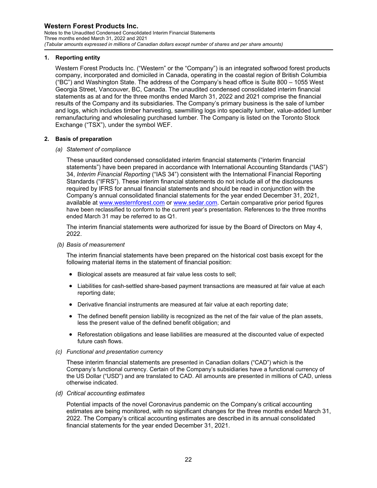Notes to the Unaudited Condensed Consolidated Interim Financial Statements Three months ended March 31, 2022 and 2021 *(Tabular amounts expressed in millions of Canadian dollars except number of shares and per share amounts)* 

#### **1. Reporting entity**

Western Forest Products Inc. ("Western" or the "Company") is an integrated softwood forest products company, incorporated and domiciled in Canada, operating in the coastal region of British Columbia ("BC") and Washington State. The address of the Company's head office is Suite 800 – 1055 West Georgia Street, Vancouver, BC, Canada. The unaudited condensed consolidated interim financial statements as at and for the three months ended March 31, 2022 and 2021 comprise the financial results of the Company and its subsidiaries. The Company's primary business is the sale of lumber and logs, which includes timber harvesting, sawmilling logs into specialty lumber, value-added lumber remanufacturing and wholesaling purchased lumber. The Company is listed on the Toronto Stock Exchange ("TSX"), under the symbol WEF.

#### **2. Basis of preparation**

#### *(a) Statement of compliance*

These unaudited condensed consolidated interim financial statements ("interim financial statements") have been prepared in accordance with International Accounting Standards ("IAS") 34, *Interim Financial Reporting* ("IAS 34") consistent with the International Financial Reporting Standards ("IFRS"). These interim financial statements do not include all of the disclosures required by IFRS for annual financial statements and should be read in conjunction with the Company's annual consolidated financial statements for the year ended December 31, 2021, available at www.westernforest.com or www.sedar.com. Certain comparative prior period figures have been reclassified to conform to the current year's presentation. References to the three months ended March 31 may be referred to as Q1.

The interim financial statements were authorized for issue by the Board of Directors on May 4, 2022.

 *(b) Basis of measurement* 

The interim financial statements have been prepared on the historical cost basis except for the following material items in the statement of financial position:

- Biological assets are measured at fair value less costs to sell;
- Liabilities for cash-settled share-based payment transactions are measured at fair value at each reporting date;
- Derivative financial instruments are measured at fair value at each reporting date;
- The defined benefit pension liability is recognized as the net of the fair value of the plan assets, less the present value of the defined benefit obligation; and
- Reforestation obligations and lease liabilities are measured at the discounted value of expected future cash flows.
- *(c) Functional and presentation currency*

These interim financial statements are presented in Canadian dollars ("CAD") which is the Company's functional currency. Certain of the Company's subsidiaries have a functional currency of the US Dollar ("USD") and are translated to CAD. All amounts are presented in millions of CAD, unless otherwise indicated.

*(d) Critical accounting estimates* 

Potential impacts of the novel Coronavirus pandemic on the Company's critical accounting estimates are being monitored, with no significant changes for the three months ended March 31, 2022. The Company's critical accounting estimates are described in its annual consolidated financial statements for the year ended December 31, 2021.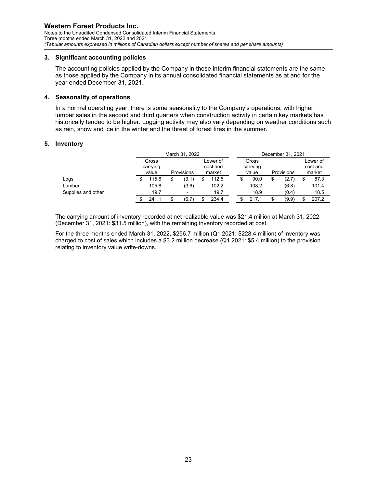Notes to the Unaudited Condensed Consolidated Interim Financial Statements Three months ended March 31, 2022 and 2021 *(Tabular amounts expressed in millions of Canadian dollars except number of shares and per share amounts)* 

#### **3. Significant accounting policies**

The accounting policies applied by the Company in these interim financial statements are the same as those applied by the Company in its annual consolidated financial statements as at and for the year ended December 31, 2021.

#### **4. Seasonality of operations**

In a normal operating year, there is some seasonality to the Company's operations, with higher lumber sales in the second and third quarters when construction activity in certain key markets has historically tended to be higher. Logging activity may also vary depending on weather conditions such as rain, snow and ice in the winter and the threat of forest fires in the summer.

#### **5. Inventory**

|                    |  |                            | December 31, 2021 |  |                                |    |                            |            |       |  |                                |
|--------------------|--|----------------------------|-------------------|--|--------------------------------|----|----------------------------|------------|-------|--|--------------------------------|
|                    |  | Gross<br>carrying<br>value | Provisions        |  | Lower of<br>cost and<br>market |    | Gross<br>carrying<br>value | Provisions |       |  | Lower of<br>cost and<br>market |
| Logs               |  | 115.6                      | (3.1)             |  | 112.5                          | \$ | 90.0                       |            | (2.7) |  | 87.3                           |
| Lumber             |  | 105.8                      | (3.6)             |  | 102.2                          |    | 108.2                      |            | (6.8) |  | 101.4                          |
| Supplies and other |  | 19.7                       |                   |  | 19.7                           |    | 18.9                       |            | (0.4) |  | 18.5                           |
|                    |  | 241.1                      | (6.7)             |  | 234.4                          |    | 217.1                      |            | (9.9) |  | 207.2                          |

The carrying amount of inventory recorded at net realizable value was \$21.4 million at March 31, 2022 (December 31, 2021: \$31.5 million), with the remaining inventory recorded at cost.

For the three months ended March 31, 2022, \$256.7 million (Q1 2021: \$228.4 million) of inventory was charged to cost of sales which includes a \$3.2 million decrease (Q1 2021: \$5.4 million) to the provision relating to inventory value write-downs.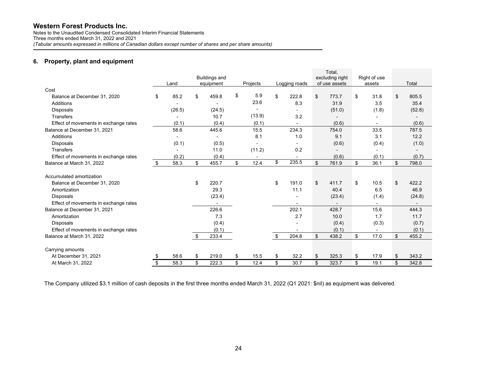Notes to the Unaudited Condensed Consolidated Interim Financial Statements Three months ended March 31, 2022 and 2021 *(Tabular amounts expressed in millions of Canadian dollars except number of shares and per share amounts)* 

#### **6. Property, plant and equipment**

|                                       |            |                                   |            |               | Total,                           |                        |             |
|---------------------------------------|------------|-----------------------------------|------------|---------------|----------------------------------|------------------------|-------------|
|                                       | Land       | <b>Buildings and</b><br>equipment | Projects   | Logging roads | excluding right<br>of use assets | Right of use<br>assets | Total       |
| Cost                                  |            |                                   |            |               |                                  |                        |             |
| Balance at December 31, 2020          | \$<br>85.2 | \$<br>459.8                       | \$<br>5.9  | \$<br>222.8   | \$<br>773.7                      | \$<br>31.8             | \$<br>805.5 |
| Additions                             |            |                                   | 23.6       | 8.3           | 31.9                             | 3.5                    | 35.4        |
| <b>Disposals</b>                      | (26.5)     | (24.5)                            |            |               | (51.0)                           | (1.8)                  | (52.8)      |
| <b>Transfers</b>                      |            | 10.7                              | (13.9)     | 3.2           |                                  |                        |             |
| Effect of movements in exchange rates | (0.1)      | (0.4)                             | (0.1)      |               | (0.6)                            |                        | (0.6)       |
| Balance at December 31, 2021          | 58.6       | 445.6                             | 15.5       | 234.3         | 754.0                            | 33.5                   | 787.5       |
| <b>Additions</b>                      |            |                                   | 8.1        | 1.0           | 9.1                              | 3.1                    | 12.2        |
| <b>Disposals</b>                      | (0.1)      | (0.5)                             |            |               | (0.6)                            | (0.4)                  | (1.0)       |
| Transfers                             |            | 11.0                              | (11.2)     | 0.2           | $\overline{\phantom{a}}$         |                        |             |
| Effect of movements in exchange rates | (0.2)      | (0.4)                             |            |               | (0.6)                            | (0.1)                  | (0.7)       |
| Balance at March 31, 2022             | \$<br>58.3 | \$<br>455.7                       | \$<br>12.4 | \$<br>235.5   | \$<br>761.9                      | \$<br>36.1             | \$<br>798.0 |
| Accumulated amortization              |            |                                   |            |               |                                  |                        |             |
| Balance at December 31, 2020          |            | \$<br>220.7                       |            | \$<br>191.0   | \$<br>411.7                      | \$<br>10.5             | \$<br>422.2 |
| Amortization                          |            | 29.3                              |            | 11.1          | 40.4                             | 6.5                    | 46.9        |
| <b>Disposals</b>                      |            | (23.4)                            |            |               | (23.4)                           | (1.4)                  | (24.8)      |
| Effect of movements in exchange rates |            |                                   |            |               |                                  |                        |             |
| Balance at December 31, 2021          |            | 226.6                             |            | 202.1         | 428.7                            | 15.6                   | 444.3       |
| Amortization                          |            | 7.3                               |            | 2.7           | 10.0                             | 1.7                    | 11.7        |
| <b>Disposals</b>                      |            | (0.4)                             |            |               | (0.4)                            | (0.3)                  | (0.7)       |
| Effect of movements in exchange rates |            | (0.1)                             |            |               | (0.1)                            |                        | (0.1)       |
| Balance at March 31, 2022             |            | \$<br>233.4                       |            | \$<br>204.8   | \$<br>438.2                      | \$<br>17.0             | \$<br>455.2 |
| Carrying amounts                      |            |                                   |            |               |                                  |                        |             |
| At December 31, 2021                  | 58.6       | \$<br>219.0                       | \$<br>15.5 | \$<br>32.2    | \$<br>325.3                      | \$<br>17.9             | \$<br>343.2 |
| At March 31, 2022                     | \$<br>58.3 | \$<br>222.3                       | \$<br>12.4 | \$<br>30.7    | \$<br>323.7                      | \$<br>19.1             | \$<br>342.8 |

The Company utilized \$3.1 million of cash deposits in the first three months ended March 31, 2022 (Q1 2021: \$nil) as equipment was delivered.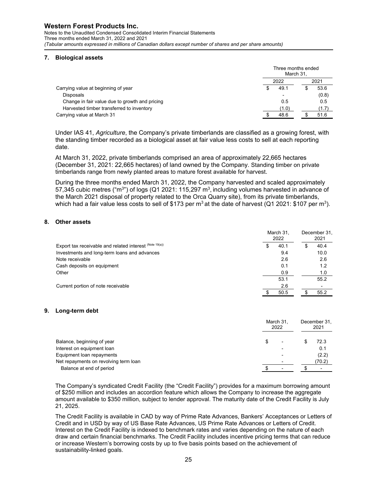Notes to the Unaudited Condensed Consolidated Interim Financial Statements Three months ended March 31, 2022 and 2021 *(Tabular amounts expressed in millions of Canadian dollars except number of shares and per share amounts)* 

#### **7. Biological assets**

|                                                |      | Three months ended<br>March 31, |  |       |  |
|------------------------------------------------|------|---------------------------------|--|-------|--|
|                                                | 2022 |                                 |  |       |  |
| Carrying value at beginning of year            |      | 49.1                            |  | 53.6  |  |
| <b>Disposals</b>                               |      |                                 |  | (0.8) |  |
| Change in fair value due to growth and pricing |      | 0.5                             |  | 0.5   |  |
| Harvested timber transferred to inventory      |      | (1.0)                           |  | (1.7) |  |
| Carrying value at March 31                     |      | 48.6                            |  | 51.6  |  |

Under IAS 41, *Agriculture*, the Company's private timberlands are classified as a growing forest, with the standing timber recorded as a biological asset at fair value less costs to sell at each reporting date.

At March 31, 2022, private timberlands comprised an area of approximately 22,665 hectares (December 31, 2021: 22,665 hectares) of land owned by the Company. Standing timber on private timberlands range from newly planted areas to mature forest available for harvest.

During the three months ended March 31, 2022, the Company harvested and scaled approximately 57,345 cubic metres ("m<sup>3</sup>") of logs (Q1 2021: 115,297 m<sup>3</sup>, including volumes harvested in advance of the March 2021 disposal of property related to the Orca Quarry site), from its private timberlands, which had a fair value less costs to sell of \$173 per m<sup>3</sup> at the date of harvest (Q1 2021: \$107 per m<sup>3</sup>).

### **8. Other assets**

|                                                         | March 31,<br>2022 |      |  |      |
|---------------------------------------------------------|-------------------|------|--|------|
| Export tax receivable and related interest (Note 19(a)) |                   | 40.1 |  | 40.4 |
| Investments and long-term loans and advances            |                   | 9.4  |  | 10.0 |
| Note receivable                                         |                   | 2.6  |  | 2.6  |
| Cash deposits on equipment                              |                   | 0.1  |  | 1.2  |
| Other                                                   |                   | 0.9  |  | 1.0  |
|                                                         |                   | 53.1 |  | 55.2 |
| Current portion of note receivable                      |                   | 2.6  |  |      |
|                                                         |                   | 50.5 |  | 55.2 |

#### **9. Long-term debt**

|                                       | March 31.<br>2022 |  | December 31.<br>2021 |
|---------------------------------------|-------------------|--|----------------------|
| Balance, beginning of year            |                   |  | 72.3                 |
| Interest on equipment loan            |                   |  | 0.1                  |
| Equipment loan repayments             |                   |  | (2.2)                |
| Net repayments on revolving term loan |                   |  | (70.2)               |
| Balance at end of period              |                   |  |                      |

The Company's syndicated Credit Facility (the "Credit Facility") provides for a maximum borrowing amount of \$250 million and includes an accordion feature which allows the Company to increase the aggregate amount available to \$350 million, subject to lender approval. The maturity date of the Credit Facility is July 21, 2025.

The Credit Facility is available in CAD by way of Prime Rate Advances, Bankers' Acceptances or Letters of Credit and in USD by way of US Base Rate Advances, US Prime Rate Advances or Letters of Credit. Interest on the Credit Facility is indexed to benchmark rates and varies depending on the nature of each draw and certain financial benchmarks. The Credit Facility includes incentive pricing terms that can reduce or increase Western's borrowing costs by up to five basis points based on the achievement of sustainability-linked goals.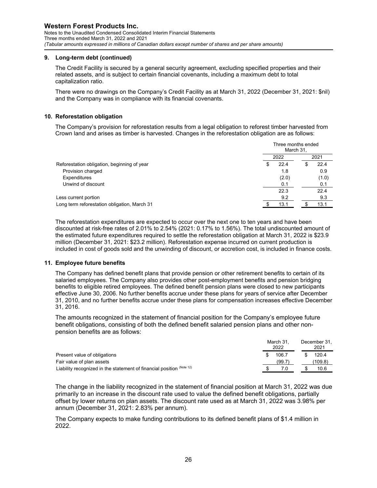Notes to the Unaudited Condensed Consolidated Interim Financial Statements Three months ended March 31, 2022 and 2021 *(Tabular amounts expressed in millions of Canadian dollars except number of shares and per share amounts)* 

#### **9. Long-term debt (continued)**

The Credit Facility is secured by a general security agreement, excluding specified properties and their related assets, and is subject to certain financial covenants, including a maximum debt to total capitalization ratio.

There were no drawings on the Company's Credit Facility as at March 31, 2022 (December 31, 2021: \$nil) and the Company was in compliance with its financial covenants.

#### **10. Reforestation obligation**

The Company's provision for reforestation results from a legal obligation to reforest timber harvested from Crown land and arises as timber is harvested. Changes in the reforestation obligation are as follows:

|                                              | Three months ended<br>March 31, |  |       |  |
|----------------------------------------------|---------------------------------|--|-------|--|
|                                              | 2022                            |  | 2021  |  |
| Reforestation obligation, beginning of year  | 22.4                            |  | 22.4  |  |
| Provision charged                            | 1.8                             |  | 0.9   |  |
| <b>Expenditures</b>                          | (2.0)                           |  | (1.0) |  |
| Unwind of discount                           | 0.1                             |  | 0.1   |  |
|                                              | 22.3                            |  | 22.4  |  |
| Less current portion                         | 9.2                             |  | 9.3   |  |
| Long term reforestation obligation, March 31 | 13.1                            |  | 13.1  |  |

The reforestation expenditures are expected to occur over the next one to ten years and have been discounted at risk-free rates of 2.01% to 2.54% (2021: 0.17% to 1.56%). The total undiscounted amount of the estimated future expenditures required to settle the reforestation obligation at March 31, 2022 is \$23.9 million (December 31, 2021: \$23.2 million). Reforestation expense incurred on current production is included in cost of goods sold and the unwinding of discount, or accretion cost, is included in finance costs.

#### **11. Employee future benefits**

The Company has defined benefit plans that provide pension or other retirement benefits to certain of its salaried employees. The Company also provides other post-employment benefits and pension bridging benefits to eligible retired employees. The defined benefit pension plans were closed to new participants effective June 30, 2006. No further benefits accrue under these plans for years of service after December 31, 2010, and no further benefits accrue under these plans for compensation increases effective December 31, 2016.

The amounts recognized in the statement of financial position for the Company's employee future benefit obligations, consisting of both the defined benefit salaried pension plans and other nonpension benefits are as follows:

|                                                                         | March 31.<br>2022 |        | December 31.<br>2021 |         |  |
|-------------------------------------------------------------------------|-------------------|--------|----------------------|---------|--|
| Present value of obligations                                            |                   | 106.7  |                      | 120.4   |  |
| Fair value of plan assets                                               |                   | (99.7) |                      | (109.8) |  |
| Liability recognized in the statement of financial position $(N^{1/2})$ |                   | 7.0    |                      | 10.6    |  |

The change in the liability recognized in the statement of financial position at March 31, 2022 was due primarily to an increase in the discount rate used to value the defined benefit obligations, partially offset by lower returns on plan assets. The discount rate used as at March 31, 2022 was 3.98% per annum (December 31, 2021: 2.83% per annum).

The Company expects to make funding contributions to its defined benefit plans of \$1.4 million in 2022.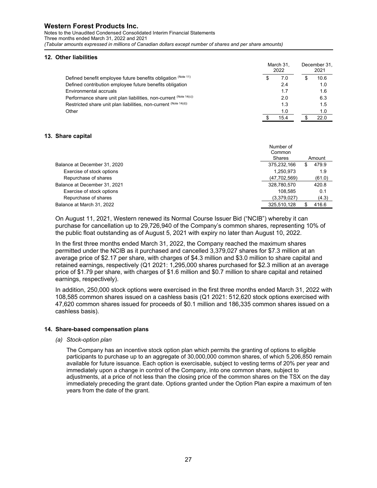Notes to the Unaudited Condensed Consolidated Interim Financial Statements Three months ended March 31, 2022 and 2021 *(Tabular amounts expressed in millions of Canadian dollars except number of shares and per share amounts)* 

#### **12. Other liabilities**

|                                                                   |   | March 31.<br>2022 |  |      |
|-------------------------------------------------------------------|---|-------------------|--|------|
| Defined benefit employee future benefits obligation (Note 11)     | S | 7.0               |  | 10.6 |
| Defined contribution employee future benefits obligation          |   | 2.4               |  | 1.0  |
| Environmental accruals                                            |   | 1.7               |  | 1.6  |
| Performance share unit plan liabilities, non-current (Note 14(c)) |   | 2.0               |  | 6.3  |
| Restricted share unit plan liabilities, non-current (Note 14(d))  |   | 1.3               |  | 1.5  |
| Other                                                             |   | 1.0               |  | 1.0  |
|                                                                   |   | 15.4              |  | 22 O |

#### **13. Share capital**

|                              | Number of<br>Common     |
|------------------------------|-------------------------|
|                              | <b>Shares</b><br>Amount |
| Balance at December 31, 2020 | 479.9<br>375,232,166    |
| Exercise of stock options    | 1,250,973<br>1.9        |
| Repurchase of shares         | (47,702,569)<br>(61.0)  |
| Balance at December 31, 2021 | 420.8<br>328,780,570    |
| Exercise of stock options    | 108.585<br>0.1          |
| Repurchase of shares         | (3.379.027)<br>(4.3)    |
| Balance at March 31, 2022    | 325.510.128<br>416.6    |

On August 11, 2021, Western renewed its Normal Course Issuer Bid ("NCIB") whereby it can purchase for cancellation up to 29,726,940 of the Company's common shares, representing 10% of the public float outstanding as of August 5, 2021 with expiry no later than August 10, 2022.

In the first three months ended March 31, 2022, the Company reached the maximum shares permitted under the NCIB as it purchased and cancelled 3,379,027 shares for \$7.3 million at an average price of \$2.17 per share, with charges of \$4.3 million and \$3.0 million to share capital and retained earnings, respectively (Q1 2021: 1,295,000 shares purchased for \$2.3 million at an average price of \$1.79 per share, with charges of \$1.6 million and \$0.7 million to share capital and retained earnings, respectively).

In addition, 250,000 stock options were exercised in the first three months ended March 31, 2022 with 108,585 common shares issued on a cashless basis (Q1 2021: 512,620 stock options exercised with 47,620 common shares issued for proceeds of \$0.1 million and 186,335 common shares issued on a cashless basis).

#### **14. Share-based compensation plans**

*(a) Stock-option plan* 

The Company has an incentive stock option plan which permits the granting of options to eligible participants to purchase up to an aggregate of 30,000,000 common shares, of which 5,206,850 remain available for future issuance. Each option is exercisable, subject to vesting terms of 20% per year and immediately upon a change in control of the Company, into one common share, subject to adjustments, at a price of not less than the closing price of the common shares on the TSX on the day immediately preceding the grant date. Options granted under the Option Plan expire a maximum of ten years from the date of the grant.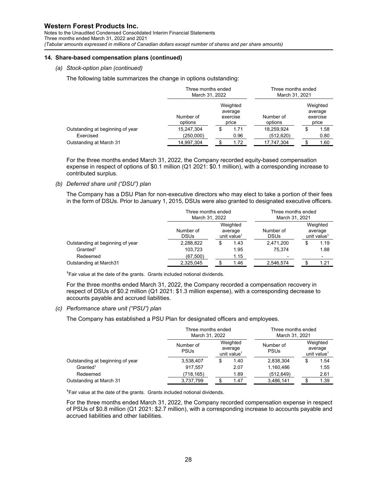Notes to the Unaudited Condensed Consolidated Interim Financial Statements Three months ended March 31, 2022 and 2021 *(Tabular amounts expressed in millions of Canadian dollars except number of shares and per share amounts)* 

#### **14. Share-based compensation plans (continued)**

*(a) Stock-option plan (continued)* 

The following table summarizes the change in options outstanding:

|                                  | Three months ended<br>March 31, 2022 |    |                                          | Three months ended<br>March 31, 2021 |    |                                          |  |
|----------------------------------|--------------------------------------|----|------------------------------------------|--------------------------------------|----|------------------------------------------|--|
|                                  | Number of<br>options                 |    | Weighted<br>average<br>exercise<br>price | Number of<br>options                 |    | Weighted<br>average<br>exercise<br>price |  |
| Outstanding at beginning of year | 15,247,304                           | \$ | 1.71                                     | 18,259,924                           | \$ | 1.58                                     |  |
| Exercised                        | (250,000)                            |    | 0.96                                     | (512, 620)                           |    | 0.80                                     |  |
| Outstanding at March 31          | 14,997,304                           |    | 1.72                                     | 17,747,304                           |    | 1.60                                     |  |

For the three months ended March 31, 2022, the Company recorded equity-based compensation expense in respect of options of \$0.1 million (Q1 2021: \$0.1 million), with a corresponding increase to contributed surplus.

#### *(b) Deferred share unit ("DSU") plan*

The Company has a DSU Plan for non-executive directors who may elect to take a portion of their fees in the form of DSUs. Prior to January 1, 2015, DSUs were also granted to designated executive officers.

|                                  | Three months ended<br>March 31, 2022 |                                                |      | Three months ended<br>March 31, 2021 |                                                |      |
|----------------------------------|--------------------------------------|------------------------------------------------|------|--------------------------------------|------------------------------------------------|------|
|                                  | Number of<br><b>DSUs</b>             | Weighted<br>average<br>unit value <sup>1</sup> |      | Number of<br><b>DSUs</b>             | Weighted<br>average<br>unit value <sup>1</sup> |      |
| Outstanding at beginning of year | 2,288,822                            | S                                              | 1.43 | 2,471,200                            |                                                | 1.19 |
| $G$ ranted <sup>1</sup>          | 103.723                              |                                                | 1.95 | 75.374                               |                                                | 1.88 |
| Redeemed                         | (67, 500)                            |                                                | 1.15 |                                      |                                                |      |
| Outstanding at March31           | 2,325,045                            |                                                | 1.46 | 2,546,574                            |                                                | 1.21 |

<sup>1</sup>Fair value at the date of the grants. Grants included notional dividends.

For the three months ended March 31, 2022, the Company recorded a compensation recovery in respect of DSUs of \$0.2 million (Q1 2021: \$1.3 million expense), with a corresponding decrease to accounts payable and accrued liabilities.

#### *(c) Performance share unit ("PSU") plan*

The Company has established a PSU Plan for designated officers and employees.

|                                  |                          | Three months ended<br>March 31, 2022           |      |                          | Three months ended<br>March 31, 2021 |                                                |  |
|----------------------------------|--------------------------|------------------------------------------------|------|--------------------------|--------------------------------------|------------------------------------------------|--|
|                                  | Number of<br><b>PSUs</b> | Weighted<br>average<br>unit value <sup>1</sup> |      | Number of<br><b>PSUs</b> |                                      | Weighted<br>average<br>unit value <sup>1</sup> |  |
| Outstanding at beginning of year | 3,538,407                |                                                | 1.40 | 2,838,304                |                                      | 1.54                                           |  |
| $G$ ranted <sup>1</sup>          | 917.557                  |                                                | 2.07 | 1,160,486                |                                      | 1.55                                           |  |
| Redeemed                         | (718,165)                |                                                | 1.89 | (512, 649)               |                                      | 2.61                                           |  |
| Outstanding at March 31          | 3,737,799                |                                                | 1.47 | 3,486,141                |                                      | 1.39                                           |  |

 $1$ Fair value at the date of the grants. Grants included notional dividends.

For the three months ended March 31, 2022, the Company recorded compensation expense in respect of PSUs of \$0.8 million (Q1 2021: \$2.7 million), with a corresponding increase to accounts payable and accrued liabilities and other liabilities.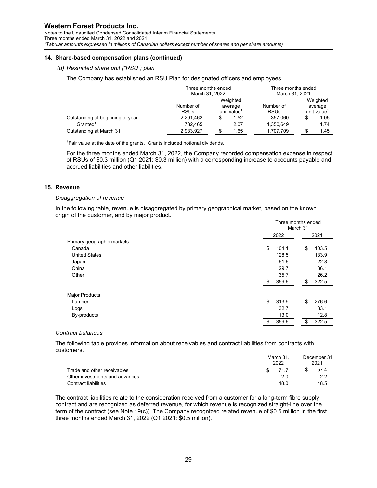Notes to the Unaudited Condensed Consolidated Interim Financial Statements Three months ended March 31, 2022 and 2021 *(Tabular amounts expressed in millions of Canadian dollars except number of shares and per share amounts)* 

#### **14. Share-based compensation plans (continued)**

#### *(d) Restricted share unit ("RSU") plan*

The Company has established an RSU Plan for designated officers and employees.

|                                  |                          | Three months ended<br>March 31, 2022           |      |                          | Three months ended<br>March 31, 2021 |                                                |
|----------------------------------|--------------------------|------------------------------------------------|------|--------------------------|--------------------------------------|------------------------------------------------|
|                                  | Number of<br><b>RSUs</b> | Weighted<br>average<br>unit value <sup>1</sup> |      | Number of<br><b>RSUs</b> |                                      | Weighted<br>average<br>unit value <sup>1</sup> |
| Outstanding at beginning of year | 2,201,462                |                                                | 1.52 | 357.060                  |                                      | 1.05                                           |
| $G$ ranted <sup>1</sup>          | 732.465                  |                                                | 2.07 | 1,350,649                |                                      | 1.74                                           |
| Outstanding at March 31          | 2,933,927                |                                                | 1.65 | 1,707,709                |                                      | 1.45                                           |

 $1$ Fair value at the date of the grants. Grants included notional dividends.

For the three months ended March 31, 2022, the Company recorded compensation expense in respect of RSUs of \$0.3 million (Q1 2021: \$0.3 million) with a corresponding increase to accounts payable and accrued liabilities and other liabilities.

#### **15. Revenue**

#### *Disaggregation of revenue*

In the following table, revenue is disaggregated by primary geographical market, based on the known origin of the customer, and by major product.

| Three months ended<br>March 31, |    |       |  |
|---------------------------------|----|-------|--|
| 2022                            |    | 2021  |  |
|                                 |    |       |  |
| \$<br>104.1                     | \$ | 103.5 |  |
| 128.5                           |    | 133.9 |  |
| 61.6                            |    | 22.8  |  |
| 29.7                            |    | 36.1  |  |
| 35.7                            |    | 26.2  |  |
| \$<br>359.6                     | \$ | 322.5 |  |
|                                 |    |       |  |
| \$<br>313.9                     | \$ | 276.6 |  |
| 32.7                            |    | 33.1  |  |
| 13.0                            |    | 12.8  |  |
| \$<br>359.6                     | \$ | 322.5 |  |
|                                 |    |       |  |

#### *Contract balances*

The following table provides information about receivables and contract liabilities from contracts with customers. December 31

|                                | March 31.<br>2022 | December 31<br>2021 |
|--------------------------------|-------------------|---------------------|
| Trade and other receivables    | 717<br>\$.        | 57.4                |
| Other investments and advances | 2 O               | 2.2                 |
| Contract liabilities           | 48 O              | 48.5                |

The contract liabilities relate to the consideration received from a customer for a long-term fibre supply contract and are recognized as deferred revenue, for which revenue is recognized straight-line over the term of the contract (see Note 19(c)). The Company recognized related revenue of \$0.5 million in the first three months ended March 31, 2022 (Q1 2021: \$0.5 million).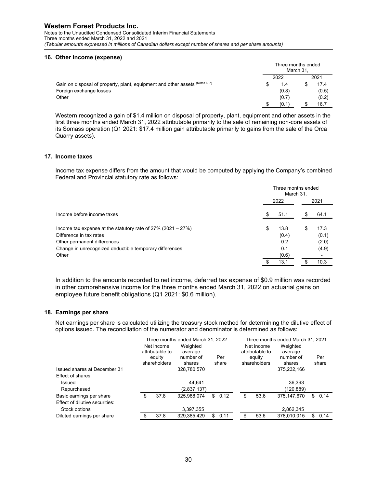Notes to the Unaudited Condensed Consolidated Interim Financial Statements Three months ended March 31, 2022 and 2021 *(Tabular amounts expressed in millions of Canadian dollars except number of shares and per share amounts)* 

#### **16. Other income (expense)**

|                                                                              | Three months ended<br>March 31. |       |  |       |
|------------------------------------------------------------------------------|---------------------------------|-------|--|-------|
|                                                                              |                                 | 2022  |  | 2021  |
| Gain on disposal of property, plant, equipment and other assets (Notes 6, 7) |                                 | 1.4   |  | 17.4  |
| Foreign exchange losses                                                      |                                 | (0.8) |  | (0.5) |
| Other                                                                        |                                 | (0.7) |  | (0.2) |
|                                                                              |                                 | (0.1) |  | 16.7  |

Western recognized a gain of \$1.4 million on disposal of property, plant, equipment and other assets in the first three months ended March 31, 2022 attributable primarily to the sale of remaining non-core assets of its Somass operation (Q1 2021: \$17.4 million gain attributable primarily to gains from the sale of the Orca Quarry assets).

#### **17. Income taxes**

Income tax expense differs from the amount that would be computed by applying the Company's combined Federal and Provincial statutory rate as follows:

|                                                                                            |    | Three months ended<br>March 31, |    |               |  |  |  |
|--------------------------------------------------------------------------------------------|----|---------------------------------|----|---------------|--|--|--|
|                                                                                            |    | 2022                            |    | 2021          |  |  |  |
| Income before income taxes                                                                 | S  | 51.1                            | \$ | 64.1          |  |  |  |
| Income tax expense at the statutory rate of $27\%$ (2021 – 27%)<br>Difference in tax rates | \$ | 13.8<br>(0.4)                   | S  | 17.3<br>(0.1) |  |  |  |
| Other permanent differences                                                                |    | 0.2                             |    | (2.0)         |  |  |  |
| Change in unrecognized deductible temporary differences                                    |    | 0.1                             |    | (4.9)         |  |  |  |
| Other                                                                                      |    | (0.6)                           |    |               |  |  |  |
|                                                                                            | \$ | 13.1                            |    | 10.3          |  |  |  |

In addition to the amounts recorded to net income, deferred tax expense of \$0.9 million was recorded in other comprehensive income for the three months ended March 31, 2022 on actuarial gains on employee future benefit obligations (Q1 2021: \$0.6 million).

#### **18. Earnings per share**

Net earnings per share is calculated utilizing the treasury stock method for determining the dilutive effect of options issued. The reconciliation of the numerator and denominator is determined as follows:

|      |                                                         |        | Three months ended March 31, 2021 |                                                                   |      |                        |                     |       |  |  |  |
|------|---------------------------------------------------------|--------|-----------------------------------|-------------------------------------------------------------------|------|------------------------|---------------------|-------|--|--|--|
|      | Weighted<br>Net income<br>attributable to<br>average    |        |                                   |                                                                   |      |                        | Weighted<br>average |       |  |  |  |
|      | number of                                               |        |                                   |                                                                   |      | number of              |                     | Per   |  |  |  |
|      |                                                         |        |                                   |                                                                   |      |                        |                     | share |  |  |  |
|      | 328,780,570                                             |        |                                   |                                                                   |      | 375,232,166            |                     |       |  |  |  |
|      |                                                         |        |                                   |                                                                   |      |                        |                     |       |  |  |  |
|      | 44.641                                                  |        |                                   |                                                                   |      | 36,393                 |                     |       |  |  |  |
|      | (2,837,137)                                             |        |                                   |                                                                   |      | (120,889)              |                     |       |  |  |  |
| 37.8 | 325,988,074                                             | \$     |                                   | \$                                                                | 53.6 | 375.147.670            | \$.                 | 0.14  |  |  |  |
|      |                                                         |        |                                   |                                                                   |      |                        |                     |       |  |  |  |
|      | 3,397,355                                               |        |                                   |                                                                   |      | 2,862,345              |                     |       |  |  |  |
| 37.8 | 329,385,429                                             | \$     |                                   |                                                                   | 53.6 | 378,010,015            | \$                  | 0.14  |  |  |  |
|      | Net income<br>attributable to<br>equity<br>shareholders | shares |                                   | Three months ended March 31, 2022<br>Per<br>share<br>0.12<br>0.11 |      | eauitv<br>shareholders | shares              |       |  |  |  |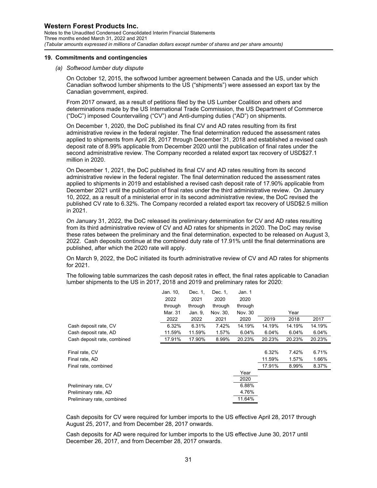#### **19. Commitments and contingencies**

#### *(a) Softwood lumber duty dispute*

On October 12, 2015, the softwood lumber agreement between Canada and the US, under which Canadian softwood lumber shipments to the US ("shipments") were assessed an export tax by the Canadian government, expired.

From 2017 onward, as a result of petitions filed by the US Lumber Coalition and others and determinations made by the US International Trade Commission, the US Department of Commerce ("DoC") imposed Countervailing ("CV") and Anti-dumping duties ("AD") on shipments.

On December 1, 2020, the DoC published its final CV and AD rates resulting from its first administrative review in the federal register. The final determination reduced the assessment rates applied to shipments from April 28, 2017 through December 31, 2018 and established a revised cash deposit rate of 8.99% applicable from December 2020 until the publication of final rates under the second administrative review. The Company recorded a related export tax recovery of USD\$27.1 million in 2020.

On December 1, 2021, the DoC published its final CV and AD rates resulting from its second administrative review in the federal register. The final determination reduced the assessment rates applied to shipments in 2019 and established a revised cash deposit rate of 17.90% applicable from December 2021 until the publication of final rates under the third administrative review. On January 10, 2022, as a result of a ministerial error in its second administrative review, the DoC revised the published CV rate to 6.32%. The Company recorded a related export tax recovery of USD\$2.5 million in 2021.

On January 31, 2022, the DoC released its preliminary determination for CV and AD rates resulting from its third administrative review of CV and AD rates for shipments in 2020. The DoC may revise these rates between the preliminary and the final determination, expected to be released on August 3, 2022. Cash deposits continue at the combined duty rate of 17.91% until the final determinations are published, after which the 2020 rate will apply.

On March 9, 2022, the DoC initiated its fourth administrative review of CV and AD rates for shipments for 2021.

The following table summarizes the cash deposit rates in effect, the final rates applicable to Canadian lumber shipments to the US in 2017, 2018 and 2019 and preliminary rates for 2020:

|                             | Jan. 10, | Dec. 1, | Dec. 1,  | Jan. 1  |        |        |        |
|-----------------------------|----------|---------|----------|---------|--------|--------|--------|
|                             | 2022     | 2021    | 2020     | 2020    |        |        |        |
|                             | through  | through | through  | through |        |        |        |
|                             | Mar. 31  | Jan. 9, | Nov. 30, | Nov. 30 |        | Year   |        |
|                             | 2022     | 2022    | 2021     | 2020    | 2019   | 2018   | 2017   |
| Cash deposit rate, CV       | 6.32%    | 6.31%   | 7.42%    | 14.19%  | 14.19% | 14.19% | 14.19% |
| Cash deposit rate, AD       | 11.59%   | 11.59%  | 1.57%    | 6.04%   | 6.04%  | 6.04%  | 6.04%  |
| Cash deposit rate, combined | 17.91%   | 17.90%  | 8.99%    | 20.23%  | 20.23% | 20.23% | 20.23% |
|                             |          |         |          |         |        |        |        |
| Final rate, CV              |          |         |          |         | 6.32%  | 7.42%  | 6.71%  |
| Final rate, AD              |          |         |          |         | 11.59% | 1.57%  | 1.66%  |
| Final rate, combined        |          |         |          |         | 17.91% | 8.99%  | 8.37%  |
|                             |          |         |          | Year    |        |        |        |
|                             |          |         |          | 2020    |        |        |        |
| Preliminary rate, CV        |          |         |          | 6.88%   |        |        |        |
| Preliminary rate, AD        |          |         |          | 4.76%   |        |        |        |
| Preliminary rate, combined  |          |         |          | 11.64%  |        |        |        |

Cash deposits for CV were required for lumber imports to the US effective April 28, 2017 through August 25, 2017, and from December 28, 2017 onwards.

Cash deposits for AD were required for lumber imports to the US effective June 30, 2017 until December 26, 2017, and from December 28, 2017 onwards.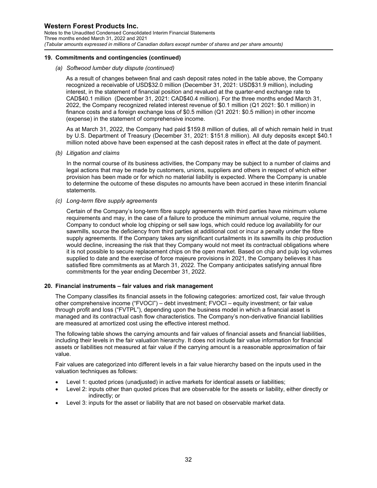Notes to the Unaudited Condensed Consolidated Interim Financial Statements Three months ended March 31, 2022 and 2021 *(Tabular amounts expressed in millions of Canadian dollars except number of shares and per share amounts)* 

#### **19. Commitments and contingencies (continued)**

#### *(a) Softwood lumber duty dispute (continued)*

As a result of changes between final and cash deposit rates noted in the table above, the Company recognized a receivable of USD\$32.0 million (December 31, 2021: USD\$31.9 million), including interest, in the statement of financial position and revalued at the quarter-end exchange rate to CAD\$40.1 million (December 31, 2021: CAD\$40.4 million). For the three months ended March 31, 2022, the Company recognized related interest revenue of \$0.1 million (Q1 2021: \$0.1 million) in finance costs and a foreign exchange loss of \$0.5 million (Q1 2021: \$0.5 million) in other income (expense) in the statement of comprehensive income.

As at March 31, 2022, the Company had paid \$159.8 million of duties, all of which remain held in trust by U.S. Department of Treasury (December 31, 2021: \$151.8 million). All duty deposits except \$40.1 million noted above have been expensed at the cash deposit rates in effect at the date of payment.

*(b) Litigation and claims* 

In the normal course of its business activities, the Company may be subject to a number of claims and legal actions that may be made by customers, unions, suppliers and others in respect of which either provision has been made or for which no material liability is expected. Where the Company is unable to determine the outcome of these disputes no amounts have been accrued in these interim financial statements.

*(c) Long-term fibre supply agreements*

Certain of the Company's long-term fibre supply agreements with third parties have minimum volume requirements and may, in the case of a failure to produce the minimum annual volume, require the Company to conduct whole log chipping or sell saw logs, which could reduce log availability for our sawmills, source the deficiency from third parties at additional cost or incur a penalty under the fibre supply agreements. If the Company takes any significant curtailments in its sawmills its chip production would decline, increasing the risk that they Company would not meet its contractual obligations where it is not possible to secure replacement chips on the open market. Based on chip and pulp log volumes supplied to date and the exercise of force majeure provisions in 2021, the Company believes it has satisfied fibre commitments as at March 31, 2022. The Company anticipates satisfying annual fibre commitments for the year ending December 31, 2022.

#### **20. Financial instruments – fair values and risk management**

The Company classifies its financial assets in the following categories: amortized cost, fair value through other comprehensive income ("FVOCI") – debt investment; FVOCI – equity investment; or fair value through profit and loss ("FVTPL"), depending upon the business model in which a financial asset is managed and its contractual cash flow characteristics. The Company's non-derivative financial liabilities are measured at amortized cost using the effective interest method.

The following table shows the carrying amounts and fair values of financial assets and financial liabilities, including their levels in the fair valuation hierarchy. It does not include fair value information for financial assets or liabilities not measured at fair value if the carrying amount is a reasonable approximation of fair value.

Fair values are categorized into different levels in a fair value hierarchy based on the inputs used in the valuation techniques as follows:

- Level 1: quoted prices (unadjusted) in active markets for identical assets or liabilities;
- Level 2: inputs other than quoted prices that are observable for the assets or liability, either directly or indirectly; or
- Level 3: inputs for the asset or liability that are not based on observable market data.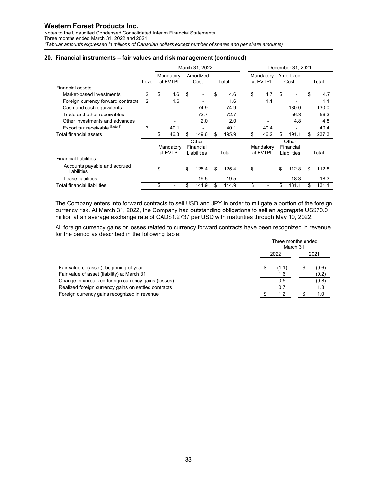Notes to the Unaudited Condensed Consolidated Interim Financial Statements Three months ended March 31, 2022 and 2021 *(Tabular amounts expressed in millions of Canadian dollars except number of shares and per share amounts)* 

#### **20. Financial instruments – fair values and risk management (continued)**

|                                             |       | March 31, 2022 |                       |    |                                   |     | December 31, 2021 |    |                       |    |                                   |    |       |
|---------------------------------------------|-------|----------------|-----------------------|----|-----------------------------------|-----|-------------------|----|-----------------------|----|-----------------------------------|----|-------|
|                                             | Level |                | Mandatory<br>at FVTPL |    | Amortized<br>Cost                 |     | Total             |    | Mandatory<br>at FVTPL |    | Amortized<br>Cost                 |    | Total |
| <b>Financial assets</b>                     |       |                |                       |    |                                   |     |                   |    |                       |    |                                   |    |       |
| Market-based investments                    | 2     | \$             | 4.6                   | \$ |                                   | \$  | 4.6               | \$ | 4.7                   | \$ |                                   | \$ | 4.7   |
| Foreign currency forward contracts          | 2     |                | 1.6                   |    |                                   |     | 1.6               |    | 1.1                   |    |                                   |    | 1.1   |
| Cash and cash equivalents                   |       |                |                       |    | 74.9                              |     | 74.9              |    |                       |    | 130.0                             |    | 130.0 |
| Trade and other receivables                 |       |                |                       |    | 72.7                              |     | 72.7              |    |                       |    | 56.3                              |    | 56.3  |
| Other investments and advances              |       |                |                       |    | 2.0                               |     | 2.0               |    |                       |    | 4.8                               |    | 4.8   |
| Export tax receivable (Note 8)              | 3     |                | 40.1                  |    |                                   |     | 40.1              |    | 40.4                  |    |                                   |    | 40.4  |
| Total financial assets                      |       | \$             | 46.3                  | \$ | 149.6                             | \$  | 195.9             | \$ | 46.2                  | \$ | 191.1                             | \$ | 237.3 |
|                                             |       |                | Mandatory<br>at FVTPL |    | Other<br>Financial<br>Liabilities |     | Total             |    | Mandatory<br>at FVTPL |    | Other<br>Financial<br>Liabilities |    | Total |
| <b>Financial liabilities</b>                |       |                |                       |    |                                   |     |                   |    |                       |    |                                   |    |       |
| Accounts payable and accrued<br>liabilities |       | \$             |                       | \$ | 125.4                             | \$. | 125.4             | \$ |                       | \$ | 112.8                             | \$ | 112.8 |
| Lease liabilities                           |       |                |                       |    | 19.5                              |     | 19.5              |    |                       |    | 18.3                              |    | 18.3  |
| <b>Total financial liabilities</b>          |       | \$             |                       | \$ | 144.9                             | \$  | 144.9             | \$ |                       | \$ | 131.1                             | \$ | 131.1 |

The Company enters into forward contracts to sell USD and JPY in order to mitigate a portion of the foreign currency risk. At March 31, 2022, the Company had outstanding obligations to sell an aggregate US\$70.0 million at an average exchange rate of CAD\$1.2737 per USD with maturities through May 10, 2022.

All foreign currency gains or losses related to currency forward contracts have been recognized in revenue for the period as described in the following table:

|                                                                                         | Three months ended<br>March 31, |              |  |                |  |
|-----------------------------------------------------------------------------------------|---------------------------------|--------------|--|----------------|--|
|                                                                                         | 2022                            | 2021         |  |                |  |
| Fair value of (asset), beginning of year<br>Fair value of asset (liability) at March 31 |                                 | (1.1)<br>1.6 |  | (0.6)<br>(0.2) |  |
| Change in unrealized foreign currency gains (losses)                                    |                                 | 0.5          |  | (0.8)          |  |
| Realized foreign currency gains on settled contracts                                    |                                 | 0.7          |  | 1.8            |  |
| Foreign currency gains recognized in revenue                                            |                                 | 12           |  | 1.0            |  |